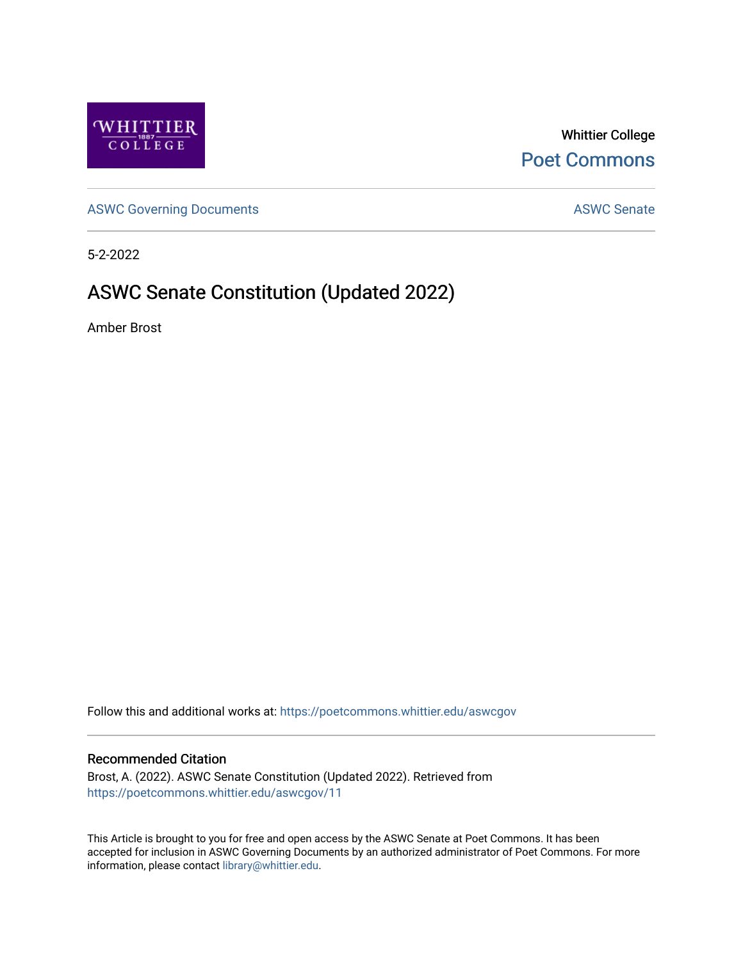

Whittier College [Poet Commons](https://poetcommons.whittier.edu/) 

[ASWC Governing Documents](https://poetcommons.whittier.edu/aswcgov) **ASWC Senate** 

5-2-2022

# ASWC Senate Constitution (Updated 2022)

Amber Brost

Follow this and additional works at: [https://poetcommons.whittier.edu/aswcgov](https://poetcommons.whittier.edu/aswcgov?utm_source=poetcommons.whittier.edu%2Faswcgov%2F11&utm_medium=PDF&utm_campaign=PDFCoverPages) 

#### Recommended Citation

Brost, A. (2022). ASWC Senate Constitution (Updated 2022). Retrieved from [https://poetcommons.whittier.edu/aswcgov/11](https://poetcommons.whittier.edu/aswcgov/11?utm_source=poetcommons.whittier.edu%2Faswcgov%2F11&utm_medium=PDF&utm_campaign=PDFCoverPages)

This Article is brought to you for free and open access by the ASWC Senate at Poet Commons. It has been accepted for inclusion in ASWC Governing Documents by an authorized administrator of Poet Commons. For more information, please contact [library@whittier.edu.](mailto:library@whittier.edu)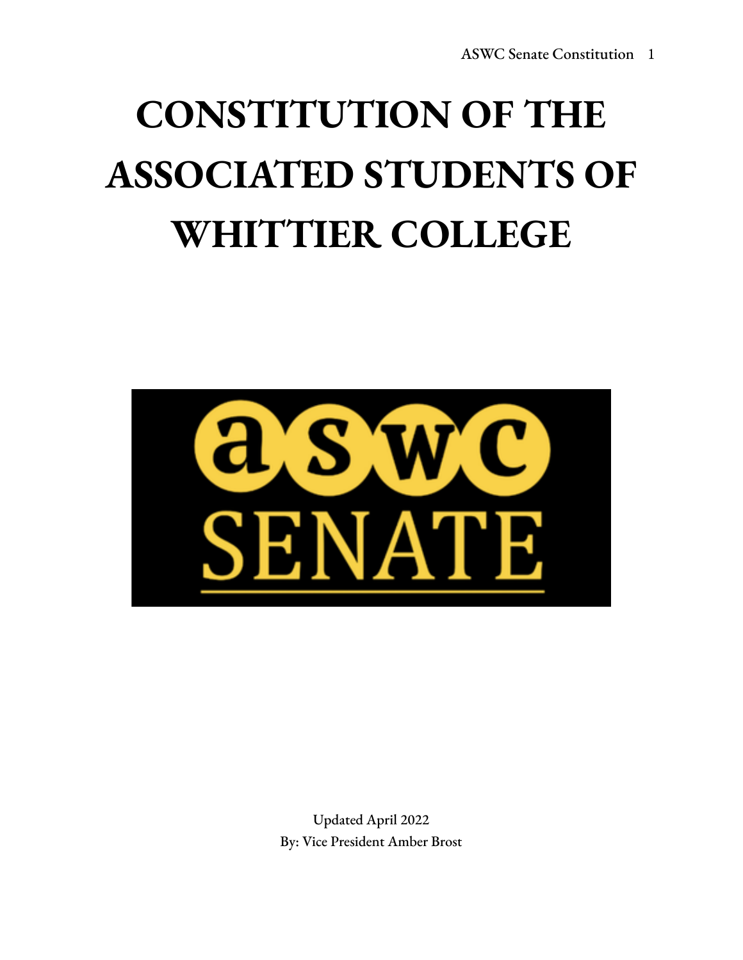# **CONSTITUTION OF THE ASSOCIATED STUDENTS OF WHITTIER COLLEGE**



Updated April 2022 By: Vice President Amber Brost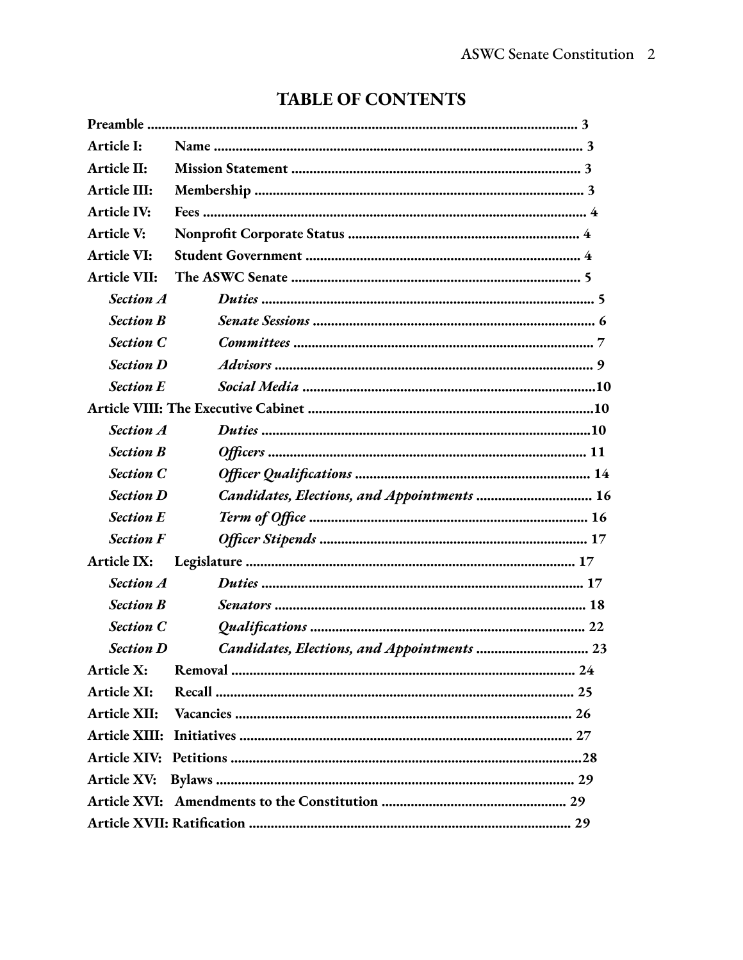| Article I:           |                                             |
|----------------------|---------------------------------------------|
| Article II:          |                                             |
| Article III:         |                                             |
| <b>Article IV:</b>   |                                             |
| Article V:           |                                             |
| <b>Article VI:</b>   |                                             |
| <b>Article VII:</b>  |                                             |
| <b>Section A</b>     |                                             |
| <b>Section B</b>     |                                             |
| <b>Section C</b>     |                                             |
| <b>Section D</b>     |                                             |
| <b>Section E</b>     |                                             |
|                      |                                             |
| <b>Section A</b>     |                                             |
| <b>Section B</b>     |                                             |
| <b>Section C</b>     |                                             |
| <b>Section D</b>     | Candidates, Elections, and Appointments  16 |
| <b>Section E</b>     |                                             |
| <b>Section F</b>     |                                             |
| Article IX:          |                                             |
| <b>Section A</b>     |                                             |
| <b>Section B</b>     |                                             |
| <b>Section C</b>     |                                             |
| <b>Section D</b>     | Candidates, Elections, and Appointments  23 |
| Article X:           |                                             |
| Article XI:          |                                             |
| Article XII:         |                                             |
| <b>Article XIII:</b> |                                             |
| <b>Article XIV:</b>  |                                             |
| <b>Article XV:</b>   |                                             |
|                      |                                             |
|                      |                                             |

# **TABLE OF CONTENTS**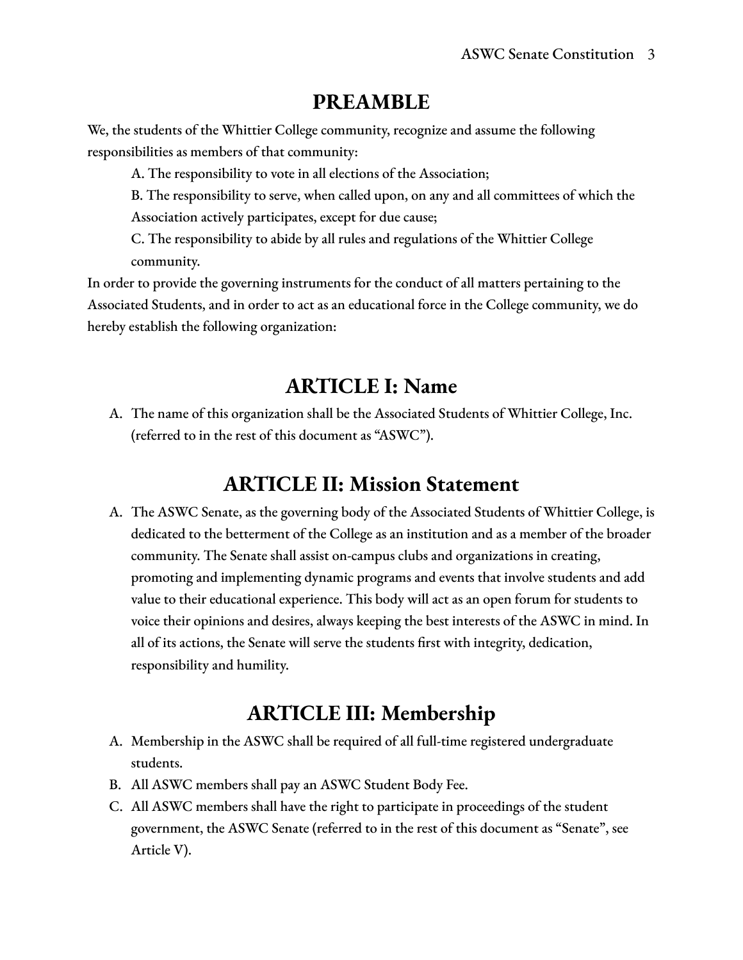## **PREAMBLE**

We, the students of the Whittier College community, recognize and assume the following responsibilities as members of that community:

A. The responsibility to vote in all elections of the Association;

B. The responsibility to serve, when called upon, on any and all committees of which the Association actively participates, except for due cause;

C. The responsibility to abide by all rules and regulations of the Whittier College community.

In order to provide the governing instruments for the conduct of all matters pertaining to the Associated Students, and in order to act as an educational force in the College community, we do hereby establish the following organization:

# **ARTICLE I: Name**

A. The name of this organization shall be the Associated Students of Whittier College, Inc. (referred to in the rest of this document as "ASWC").

# **ARTICLE II: Mission Statement**

A. The ASWC Senate, as the governing body of the Associated Students of Whittier College, is dedicated to the betterment of the College as an institution and as a member of the broader community. The Senate shall assist on-campus clubs and organizations in creating, promoting and implementing dynamic programs and events that involve students and add value to their educational experience. This body will act as an open forum for students to voice their opinions and desires, always keeping the best interests of the ASWC in mind. In all of its actions, the Senate will serve the students first with integrity, dedication, responsibility and humility.

# **ARTICLE III: Membership**

- A. Membership in the ASWC shall be required of all full-time registered undergraduate students.
- B. All ASWC members shall pay an ASWC Student Body Fee.
- C. All ASWC members shall have the right to participate in proceedings of the student government, the ASWC Senate (referred to in the rest of this document as "Senate", see Article V).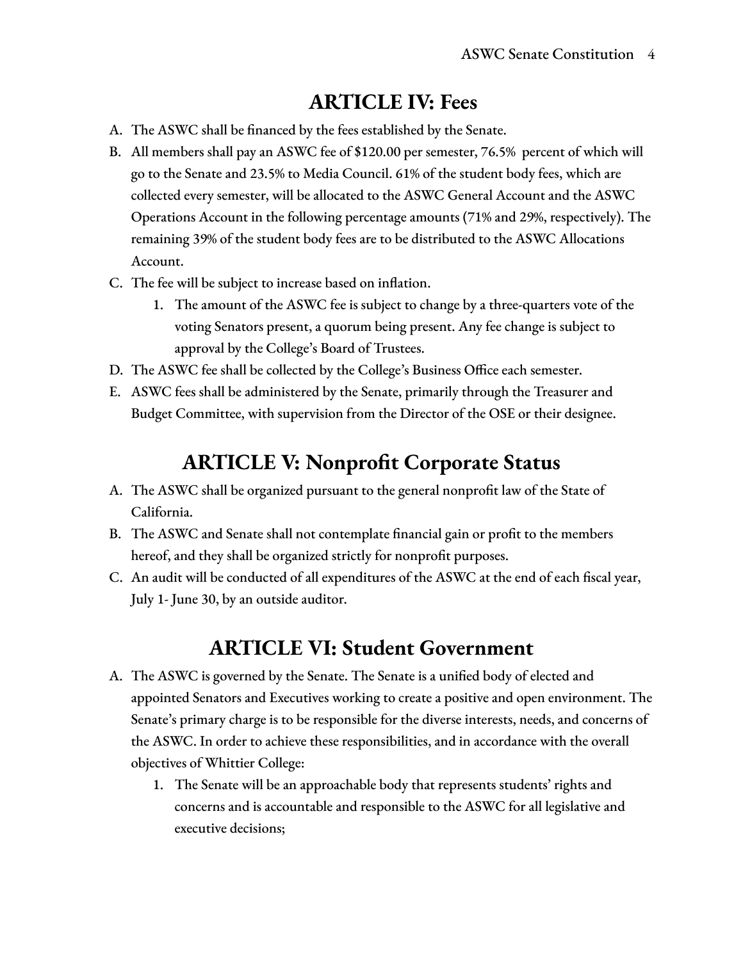## **ARTICLE IV: Fees**

- A. The ASWC shall be financed by the fees established by the Senate.
- B. All members shall pay an ASWC fee of \$120.00 per semester, 76.5% percent of which will go to the Senate and 23.5% to Media Council. 61% of the student body fees, which are collected every semester, will be allocated to the ASWC General Account and the ASWC Operations Account in the following percentage amounts (71% and 29%, respectively). The remaining 39% of the student body fees are to be distributed to the ASWC Allocations Account.
- C. The fee will be subject to increase based on inflation.
	- 1. The amount of the ASWC fee is subject to change by a three-quarters vote of the voting Senators present, a quorum being present. Any fee change is subject to approval by the College's Board of Trustees.
- D. The ASWC fee shall be collected by the College's Business Office each semester.
- E. ASWC fees shall be administered by the Senate, primarily through the Treasurer and Budget Committee, with supervision from the Director of the OSE or their designee.

## **ARTICLE V: Nonprofit Corporate Status**

- A. The ASWC shall be organized pursuant to the general nonprofit law of the State of California.
- B. The ASWC and Senate shall not contemplate financial gain or profit to the members hereof, and they shall be organized strictly for nonprofit purposes.
- C. An audit will be conducted of all expenditures of the ASWC at the end of each fiscal year, July 1- June 30, by an outside auditor.

## **ARTICLE VI: Student Government**

- A. The ASWC is governed by the Senate. The Senate is a unified body of elected and appointed Senators and Executives working to create a positive and open environment. The Senate's primary charge is to be responsible for the diverse interests, needs, and concerns of the ASWC. In order to achieve these responsibilities, and in accordance with the overall objectives of Whittier College:
	- 1. The Senate will be an approachable body that represents students' rights and concerns and is accountable and responsible to the ASWC for all legislative and executive decisions;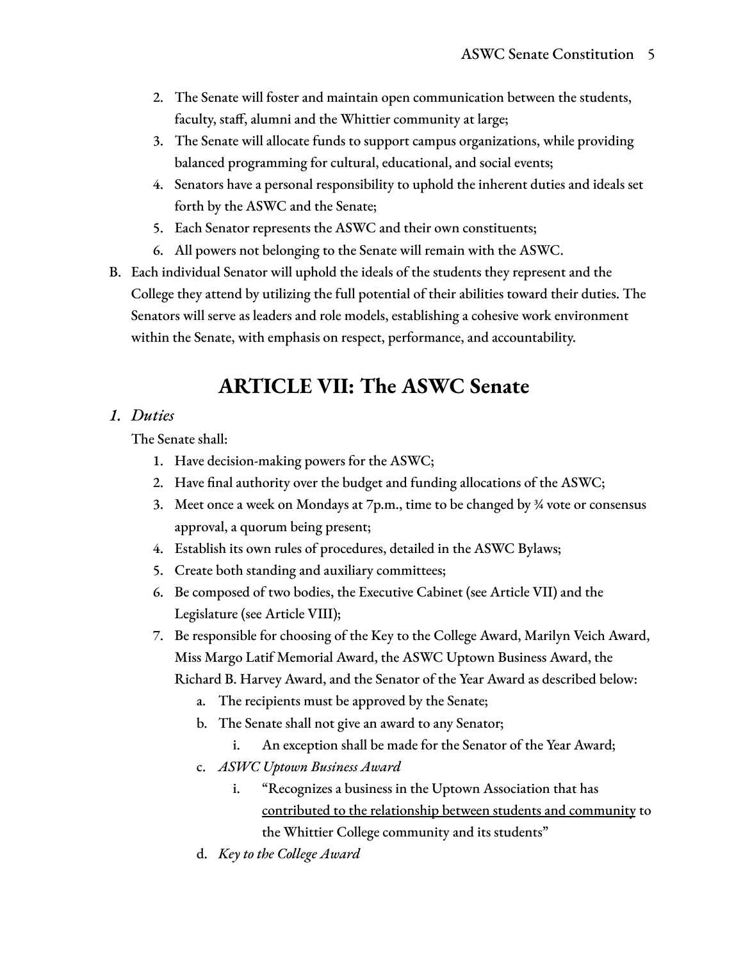- 2. The Senate will foster and maintain open communication between the students, faculty, staff, alumni and the Whittier community at large;
- 3. The Senate will allocate funds to support campus organizations, while providing balanced programming for cultural, educational, and social events;
- 4. Senators have a personal responsibility to uphold the inherent duties and ideals set forth by the ASWC and the Senate;
- 5. Each Senator represents the ASWC and their own constituents;
- 6. All powers not belonging to the Senate will remain with the ASWC.
- B. Each individual Senator will uphold the ideals of the students they represent and the College they attend by utilizing the full potential of their abilities toward their duties. The Senators will serve as leaders and role models, establishing a cohesive work environment within the Senate, with emphasis on respect, performance, and accountability.

## **ARTICLE VII: The ASWC Senate**

#### *1. Duties*

The Senate shall:

- 1. Have decision-making powers for the ASWC;
- 2. Have final authority over the budget and funding allocations of the ASWC;
- 3. Meet once a week on Mondays at 7p.m., time to be changed by ¾ vote or consensus approval, a quorum being present;
- 4. Establish its own rules of procedures, detailed in the ASWC Bylaws;
- 5. Create both standing and auxiliary committees;
- 6. Be composed of two bodies, the Executive Cabinet (see Article VII) and the Legislature (see Article VIII);
- 7. Be responsible for choosing of the Key to the College Award, Marilyn Veich Award, Miss Margo Latif Memorial Award, the ASWC Uptown Business Award, the Richard B. Harvey Award, and the Senator of the Year Award as described below:
	- a. The recipients must be approved by the Senate;
	- b. The Senate shall not give an award to any Senator;
		- i. An exception shall be made for the Senator of the Year Award;
	- c. *ASWC Uptown Business Award*
		- i. "Recognizes a business in the Uptown Association that has contributed to the relationship between students and community to the Whittier College community and its students"
	- d. *Key to the College Award*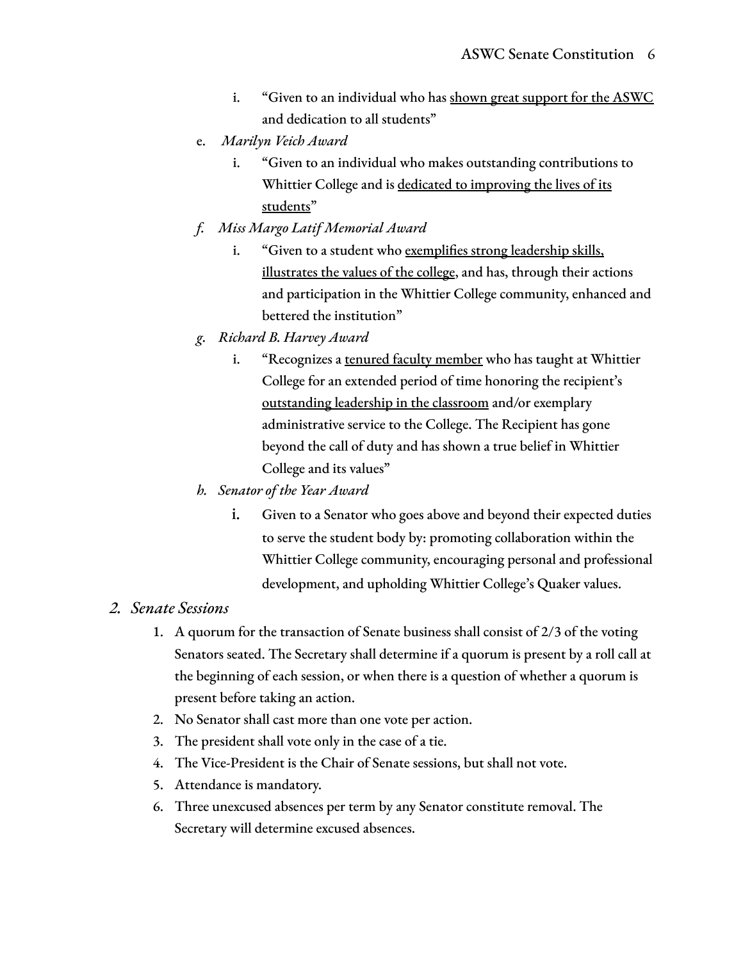- i. "Given to an individual who has shown great support for the ASWC and dedication to all students"
- e. *Marilyn Veich Award*
	- i. "Given to an individual who makes outstanding contributions to Whittier College and is dedicated to improving the lives of its students"
- *f. Miss Margo Latif Memorial Award*
	- i. "Given to a student who exemplifies strong leadership skills, illustrates the values of the college, and has, through their actions and participation in the Whittier College community, enhanced and bettered the institution"
- *g. Richard B. Harvey Award*
	- i. "Recognizes a tenured faculty member who has taught at Whittier College for an extended period of time honoring the recipient's outstanding leadership in the classroom and/or exemplary administrative service to the College. The Recipient has gone beyond the call of duty and has shown a true belief in Whittier College and its values"
- *h. Senator of the Year Award*
	- i. Given to a Senator who goes above and beyond their expected duties to serve the student body by: promoting collaboration within the Whittier College community, encouraging personal and professional development, and upholding Whittier College's Quaker values.

#### *2. Senate Sessions*

- 1. A quorum for the transaction of Senate business shall consist of 2/3 of the voting Senators seated. The Secretary shall determine if a quorum is present by a roll call at the beginning of each session, or when there is a question of whether a quorum is present before taking an action.
- 2. No Senator shall cast more than one vote per action.
- 3. The president shall vote only in the case of a tie.
- 4. The Vice-President is the Chair of Senate sessions, but shall not vote.
- 5. Attendance is mandatory.
- 6. Three unexcused absences per term by any Senator constitute removal. The Secretary will determine excused absences.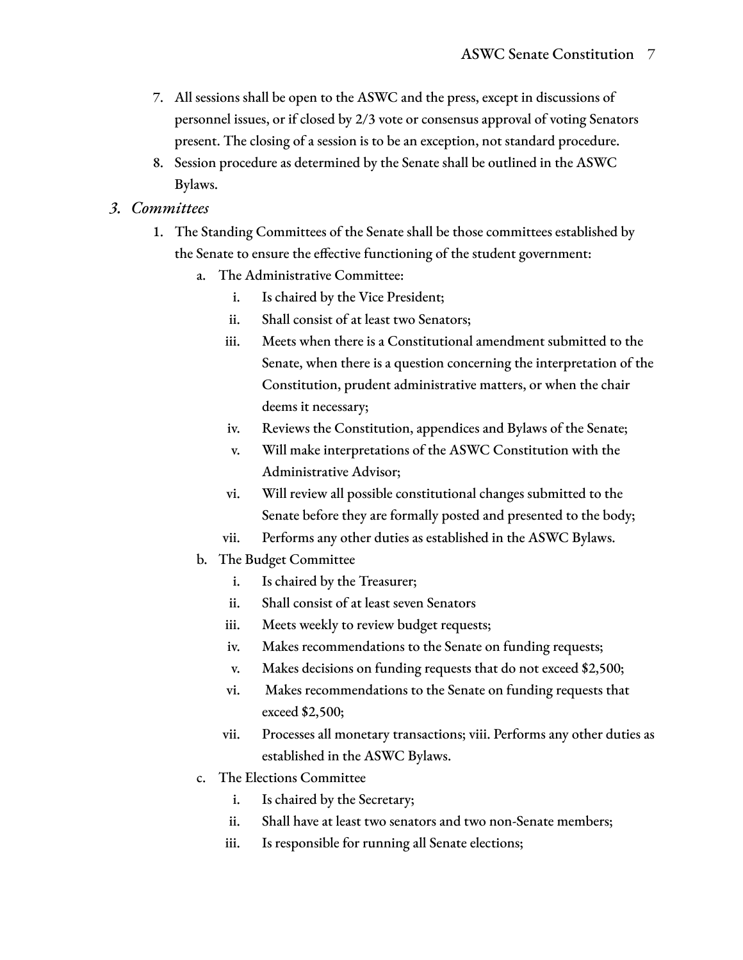- 7. All sessions shall be open to the ASWC and the press, except in discussions of personnel issues, or if closed by 2/3 vote or consensus approval of voting Senators present. The closing of a session is to be an exception, not standard procedure.
- 8. Session procedure as determined by the Senate shall be outlined in the ASWC Bylaws.

#### *3. Committees*

- 1. The Standing Committees of the Senate shall be those committees established by the Senate to ensure the effective functioning of the student government:
	- a. The Administrative Committee:
		- i. Is chaired by the Vice President;
		- ii. Shall consist of at least two Senators;
		- iii. Meets when there is a Constitutional amendment submitted to the Senate, when there is a question concerning the interpretation of the Constitution, prudent administrative matters, or when the chair deems it necessary;
		- iv. Reviews the Constitution, appendices and Bylaws of the Senate;
		- v. Will make interpretations of the ASWC Constitution with the Administrative Advisor;
		- vi. Will review all possible constitutional changes submitted to the Senate before they are formally posted and presented to the body;
		- vii. Performs any other duties as established in the ASWC Bylaws.
	- b. The Budget Committee
		- i. Is chaired by the Treasurer;
		- ii. Shall consist of at least seven Senators
		- iii. Meets weekly to review budget requests;
		- iv. Makes recommendations to the Senate on funding requests;
		- v. Makes decisions on funding requests that do not exceed \$2,500;
		- vi. Makes recommendations to the Senate on funding requests that exceed \$2,500;
		- vii. Processes all monetary transactions; viii. Performs any other duties as established in the ASWC Bylaws.
	- c. The Elections Committee
		- i. Is chaired by the Secretary;
		- ii. Shall have at least two senators and two non-Senate members;
		- iii. Is responsible for running all Senate elections;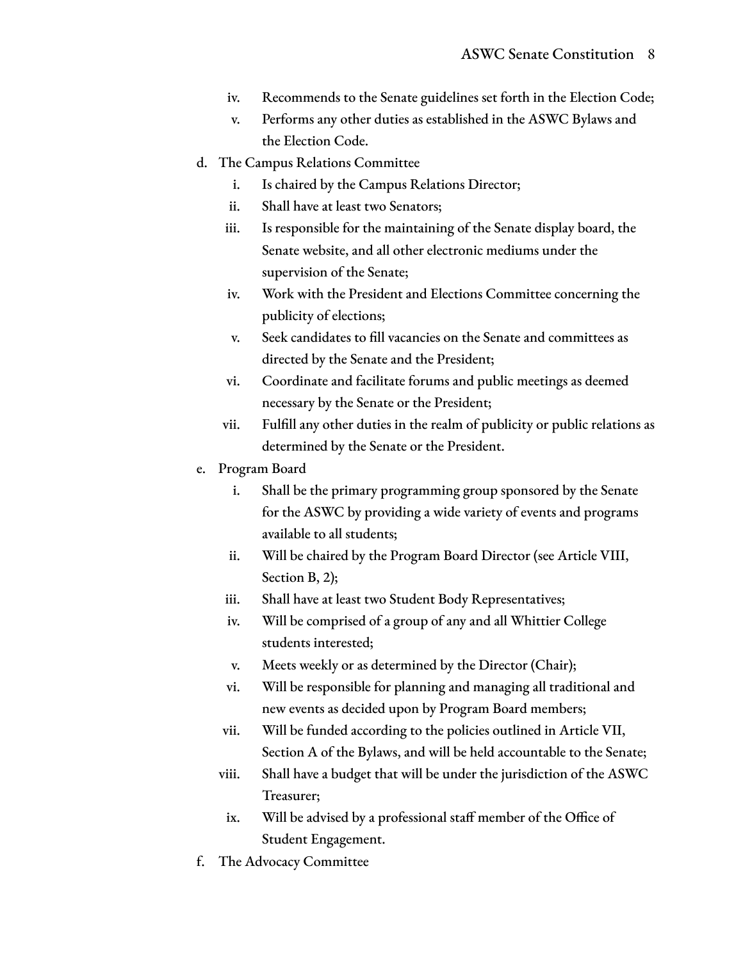- iv. Recommends to the Senate guidelines set forth in the Election Code;
- v. Performs any other duties as established in the ASWC Bylaws and the Election Code.
- d. The Campus Relations Committee
	- i. Is chaired by the Campus Relations Director;
	- ii. Shall have at least two Senators;
	- iii. Is responsible for the maintaining of the Senate display board, the Senate website, and all other electronic mediums under the supervision of the Senate;
	- iv. Work with the President and Elections Committee concerning the publicity of elections;
	- v. Seek candidates to fill vacancies on the Senate and committees as directed by the Senate and the President;
	- vi. Coordinate and facilitate forums and public meetings as deemed necessary by the Senate or the President;
	- vii. Fulfill any other duties in the realm of publicity or public relations as determined by the Senate or the President.
- e. Program Board
	- i. Shall be the primary programming group sponsored by the Senate for the ASWC by providing a wide variety of events and programs available to all students;
	- ii. Will be chaired by the Program Board Director (see Article VIII, Section B, 2);
	- iii. Shall have at least two Student Body Representatives;
	- iv. Will be comprised of a group of any and all Whittier College students interested;
	- v. Meets weekly or as determined by the Director (Chair);
	- vi. Will be responsible for planning and managing all traditional and new events as decided upon by Program Board members;
	- vii. Will be funded according to the policies outlined in Article VII, Section A of the Bylaws, and will be held accountable to the Senate;
	- viii. Shall have a budget that will be under the jurisdiction of the ASWC Treasurer;
	- ix. Will be advised by a professional staff member of the Office of Student Engagement.
- f. The Advocacy Committee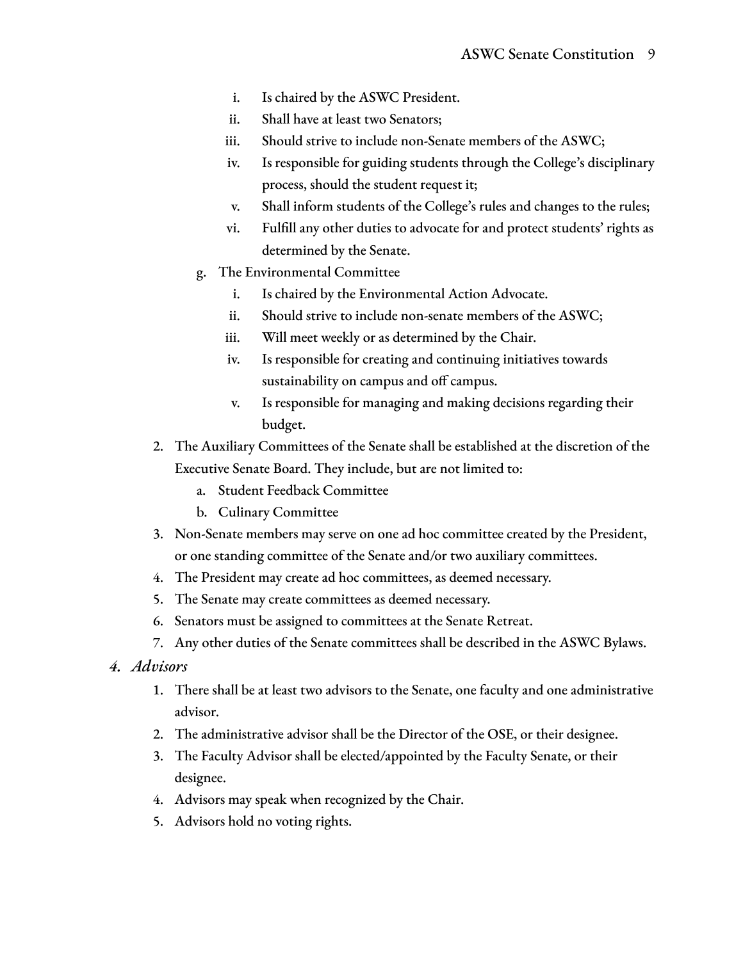- i. Is chaired by the ASWC President.
- ii. Shall have at least two Senators;
- iii. Should strive to include non-Senate members of the ASWC;
- iv. Is responsible for guiding students through the College's disciplinary process, should the student request it;
- v. Shall inform students of the College's rules and changes to the rules;
- vi. Fulfill any other duties to advocate for and protect students' rights as determined by the Senate.
- g. The Environmental Committee
	- i. Is chaired by the Environmental Action Advocate.
	- ii. Should strive to include non-senate members of the ASWC;
	- iii. Will meet weekly or as determined by the Chair.
	- iv. Is responsible for creating and continuing initiatives towards sustainability on campus and off campus.
	- v. Is responsible for managing and making decisions regarding their budget.
- 2. The Auxiliary Committees of the Senate shall be established at the discretion of the Executive Senate Board. They include, but are not limited to:
	- a. Student Feedback Committee
	- b. Culinary Committee
- 3. Non-Senate members may serve on one ad hoc committee created by the President, or one standing committee of the Senate and/or two auxiliary committees.
- 4. The President may create ad hoc committees, as deemed necessary.
- 5. The Senate may create committees as deemed necessary.
- 6. Senators must be assigned to committees at the Senate Retreat.
- 7. Any other duties of the Senate committees shall be described in the ASWC Bylaws.
- *4. Advisors*
	- 1. There shall be at least two advisors to the Senate, one faculty and one administrative advisor.
	- 2. The administrative advisor shall be the Director of the OSE, or their designee.
	- 3. The Faculty Advisor shall be elected/appointed by the Faculty Senate, or their designee.
	- 4. Advisors may speak when recognized by the Chair.
	- 5. Advisors hold no voting rights.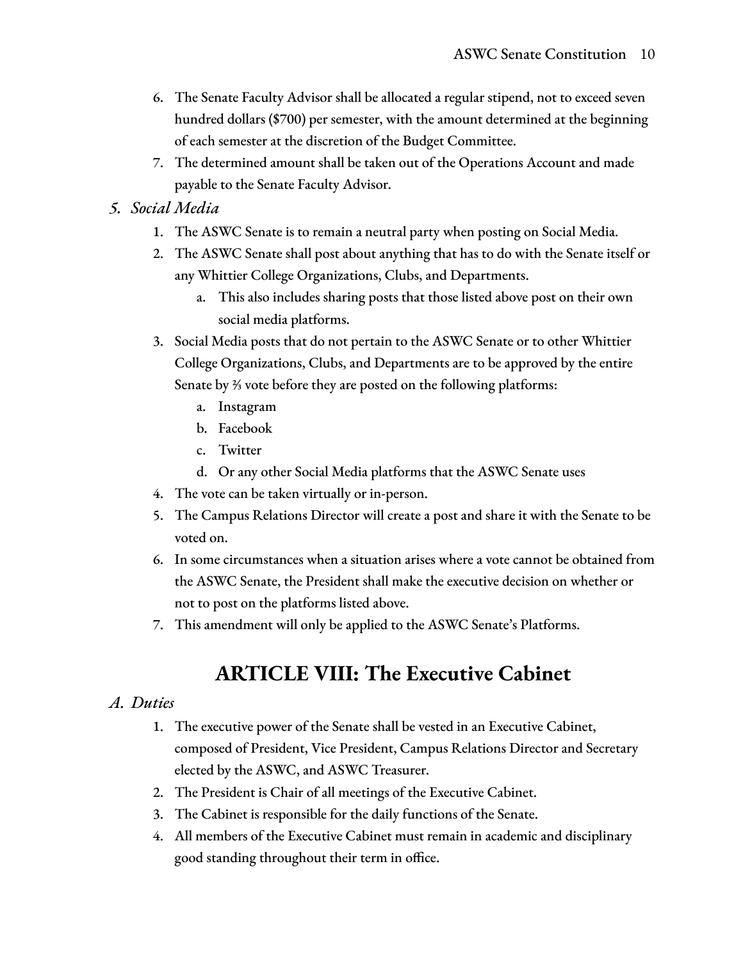- 6. The Senate Faculty Advisor shall be allocated a regular stipend, not to exceed seven hundred dollars (\$700) per semester, with the amount determined at the beginning of each semester at the discretion of the Budget Committee.
- 7. The determined amount shall be taken out of the Operations Account and made payable to the Senate Faculty Advisor.

#### *5. Social Media*

- 1. The ASWC Senate is to remain a neutral party when posting on Social Media.
- 2. The ASWC Senate shall post about anything that has to do with the Senate itself or any Whittier College Organizations, Clubs, and Departments.
	- a. This also includes sharing posts that those listed above post on their own social media platforms.
- 3. Social Media posts that do not pertain to the ASWC Senate or to other Whittier College Organizations, Clubs, and Departments are to be approved by the entire Senate by ⅔ vote before they are posted on the following platforms:
	- a. Instagram
	- b. Facebook
	- c. Twitter
	- d. Or any other Social Media platforms that the ASWC Senate uses
- 4. The vote can be taken virtually or in-person.
- 5. The Campus Relations Director will create a post and share it with the Senate to be voted on.
- 6. In some circumstances when a situation arises where a vote cannot be obtained from the ASWC Senate, the President shall make the executive decision on whether or not to post on the platforms listed above.
- 7. This amendment will only be applied to the ASWC Senate's Platforms.

# **ARTICLE VIII: The Executive Cabinet**

#### *A. Duties*

- 1. The executive power of the Senate shall be vested in an Executive Cabinet, composed of President, Vice President, Campus Relations Director and Secretary elected by the ASWC, and ASWC Treasurer.
- 2. The President is Chair of all meetings of the Executive Cabinet.
- 3. The Cabinet is responsible for the daily functions of the Senate.
- 4. All members of the Executive Cabinet must remain in academic and disciplinary good standing throughout their term in office.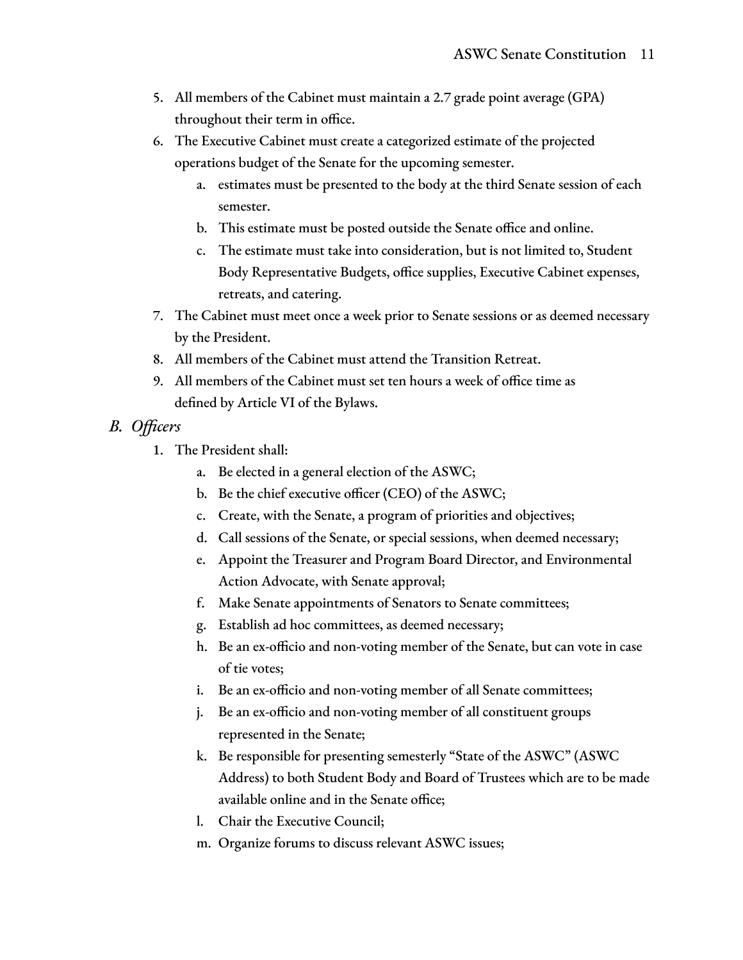- 5. All members of the Cabinet must maintain a 2.7 grade point average (GPA) throughout their term in office.
- 6. The Executive Cabinet must create a categorized estimate of the projected operations budget of the Senate for the upcoming semester.
	- a. estimates must be presented to the body at the third Senate session of each semester.
	- b. This estimate must be posted outside the Senate office and online.
	- c. The estimate must take into consideration, but is not limited to, Student Body Representative Budgets, office supplies, Executive Cabinet expenses, retreats, and catering.
- 7. The Cabinet must meet once a week prior to Senate sessions or as deemed necessary by the President.
- 8. All members of the Cabinet must attend the Transition Retreat.
- 9. All members of the Cabinet must set ten hours a week of office time as defined by Article VI of the Bylaws.
- *B. Officers*
	- 1. The President shall:
		- a. Be elected in a general election of the ASWC;
		- b. Be the chief executive officer (CEO) of the ASWC;
		- c. Create, with the Senate, a program of priorities and objectives;
		- d. Call sessions of the Senate, or special sessions, when deemed necessary;
		- e. Appoint the Treasurer and Program Board Director, and Environmental Action Advocate, with Senate approval;
		- f. Make Senate appointments of Senators to Senate committees;
		- g. Establish ad hoc committees, as deemed necessary;
		- h. Be an ex-officio and non-voting member of the Senate, but can vote in case of tie votes;
		- i. Be an ex-officio and non-voting member of all Senate committees;
		- j. Be an ex-officio and non-voting member of all constituent groups represented in the Senate;
		- k. Be responsible for presenting semesterly "State of the ASWC" (ASWC Address) to both Student Body and Board of Trustees which are to be made available online and in the Senate office;
		- l. Chair the Executive Council;
		- m. Organize forums to discuss relevant ASWC issues;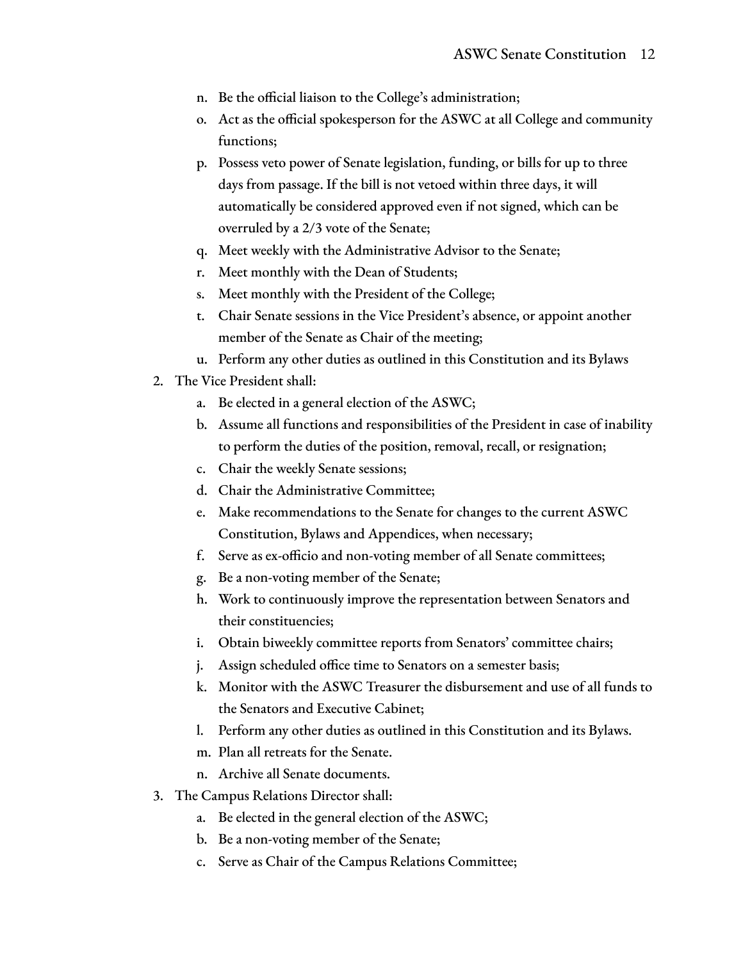- n. Be the official liaison to the College's administration;
- o. Act as the official spokesperson for the ASWC at all College and community functions;
- p. Possess veto power of Senate legislation, funding, or bills for up to three days from passage. If the bill is not vetoed within three days, it will automatically be considered approved even if not signed, which can be overruled by a 2/3 vote of the Senate;
- q. Meet weekly with the Administrative Advisor to the Senate;
- r. Meet monthly with the Dean of Students;
- s. Meet monthly with the President of the College;
- t. Chair Senate sessions in the Vice President's absence, or appoint another member of the Senate as Chair of the meeting;
- u. Perform any other duties as outlined in this Constitution and its Bylaws
- 2. The Vice President shall:
	- a. Be elected in a general election of the ASWC;
	- b. Assume all functions and responsibilities of the President in case of inability to perform the duties of the position, removal, recall, or resignation;
	- c. Chair the weekly Senate sessions;
	- d. Chair the Administrative Committee;
	- e. Make recommendations to the Senate for changes to the current ASWC Constitution, Bylaws and Appendices, when necessary;
	- f. Serve as ex-officio and non-voting member of all Senate committees;
	- g. Be a non-voting member of the Senate;
	- h. Work to continuously improve the representation between Senators and their constituencies;
	- i. Obtain biweekly committee reports from Senators' committee chairs;
	- j. Assign scheduled office time to Senators on a semester basis;
	- k. Monitor with the ASWC Treasurer the disbursement and use of all funds to the Senators and Executive Cabinet;
	- l. Perform any other duties as outlined in this Constitution and its Bylaws.
	- m. Plan all retreats for the Senate.
	- n. Archive all Senate documents.
- 3. The Campus Relations Director shall:
	- a. Be elected in the general election of the ASWC;
	- b. Be a non-voting member of the Senate;
	- c. Serve as Chair of the Campus Relations Committee;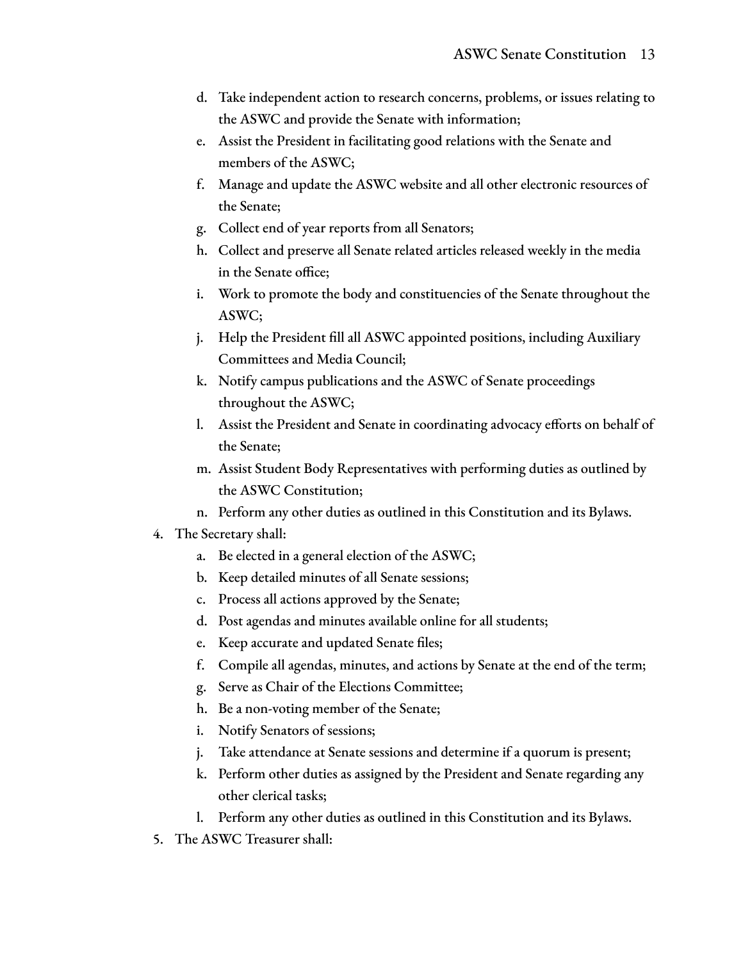- d. Take independent action to research concerns, problems, or issues relating to the ASWC and provide the Senate with information;
- e. Assist the President in facilitating good relations with the Senate and members of the ASWC;
- f. Manage and update the ASWC website and all other electronic resources of the Senate;
- g. Collect end of year reports from all Senators;
- h. Collect and preserve all Senate related articles released weekly in the media in the Senate office;
- i. Work to promote the body and constituencies of the Senate throughout the ASWC;
- j. Help the President fill all ASWC appointed positions, including Auxiliary Committees and Media Council;
- k. Notify campus publications and the ASWC of Senate proceedings throughout the ASWC;
- l. Assist the President and Senate in coordinating advocacy efforts on behalf of the Senate;
- m. Assist Student Body Representatives with performing duties as outlined by the ASWC Constitution;
- n. Perform any other duties as outlined in this Constitution and its Bylaws.

#### 4. The Secretary shall:

- a. Be elected in a general election of the ASWC;
- b. Keep detailed minutes of all Senate sessions;
- c. Process all actions approved by the Senate;
- d. Post agendas and minutes available online for all students;
- e. Keep accurate and updated Senate files;
- f. Compile all agendas, minutes, and actions by Senate at the end of the term;
- g. Serve as Chair of the Elections Committee;
- h. Be a non-voting member of the Senate;
- i. Notify Senators of sessions;
- j. Take attendance at Senate sessions and determine if a quorum is present;
- k. Perform other duties as assigned by the President and Senate regarding any other clerical tasks;
- l. Perform any other duties as outlined in this Constitution and its Bylaws.
- 5. The ASWC Treasurer shall: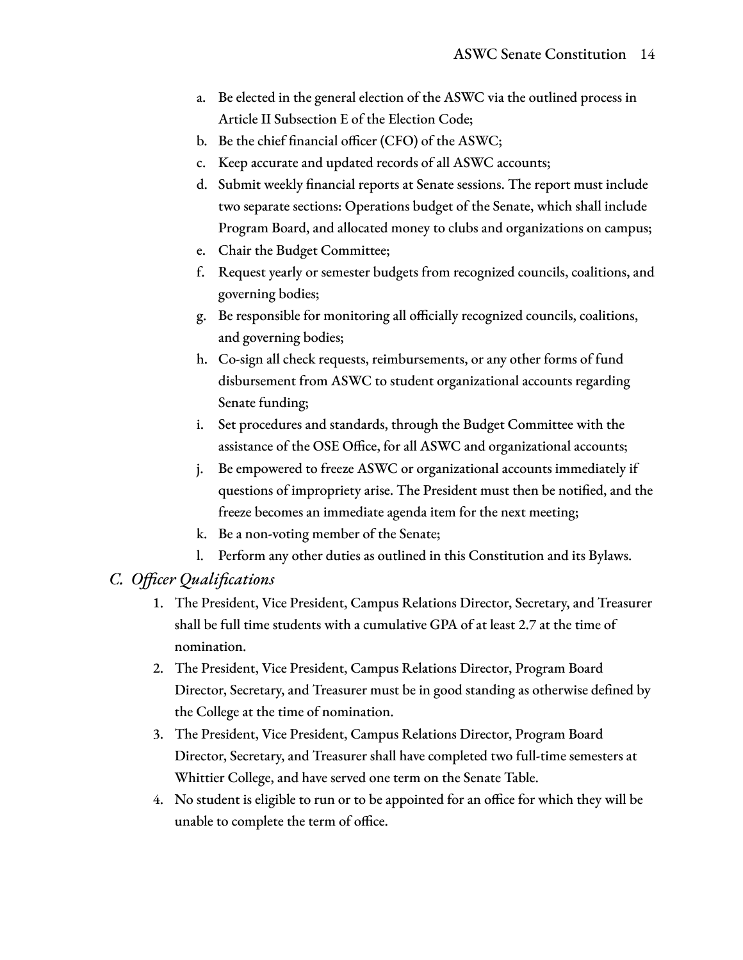- a. Be elected in the general election of the ASWC via the outlined process in Article II Subsection E of the Election Code;
- b. Be the chief financial officer (CFO) of the ASWC;
- c. Keep accurate and updated records of all ASWC accounts;
- d. Submit weekly financial reports at Senate sessions. The report must include two separate sections: Operations budget of the Senate, which shall include Program Board, and allocated money to clubs and organizations on campus;
- e. Chair the Budget Committee;
- f. Request yearly or semester budgets from recognized councils, coalitions, and governing bodies;
- g. Be responsible for monitoring all officially recognized councils, coalitions, and governing bodies;
- h. Co-sign all check requests, reimbursements, or any other forms of fund disbursement from ASWC to student organizational accounts regarding Senate funding;
- i. Set procedures and standards, through the Budget Committee with the assistance of the OSE Office, for all ASWC and organizational accounts;
- j. Be empowered to freeze ASWC or organizational accounts immediately if questions of impropriety arise. The President must then be notified, and the freeze becomes an immediate agenda item for the next meeting;
- k. Be a non-voting member of the Senate;
- l. Perform any other duties as outlined in this Constitution and its Bylaws.

#### *C. Officer Qualifications*

- 1. The President, Vice President, Campus Relations Director, Secretary, and Treasurer shall be full time students with a cumulative GPA of at least 2.7 at the time of nomination.
- 2. The President, Vice President, Campus Relations Director, Program Board Director, Secretary, and Treasurer must be in good standing as otherwise defined by the College at the time of nomination.
- 3. The President, Vice President, Campus Relations Director, Program Board Director, Secretary, and Treasurer shall have completed two full-time semesters at Whittier College, and have served one term on the Senate Table.
- 4. No student is eligible to run or to be appointed for an office for which they will be unable to complete the term of office.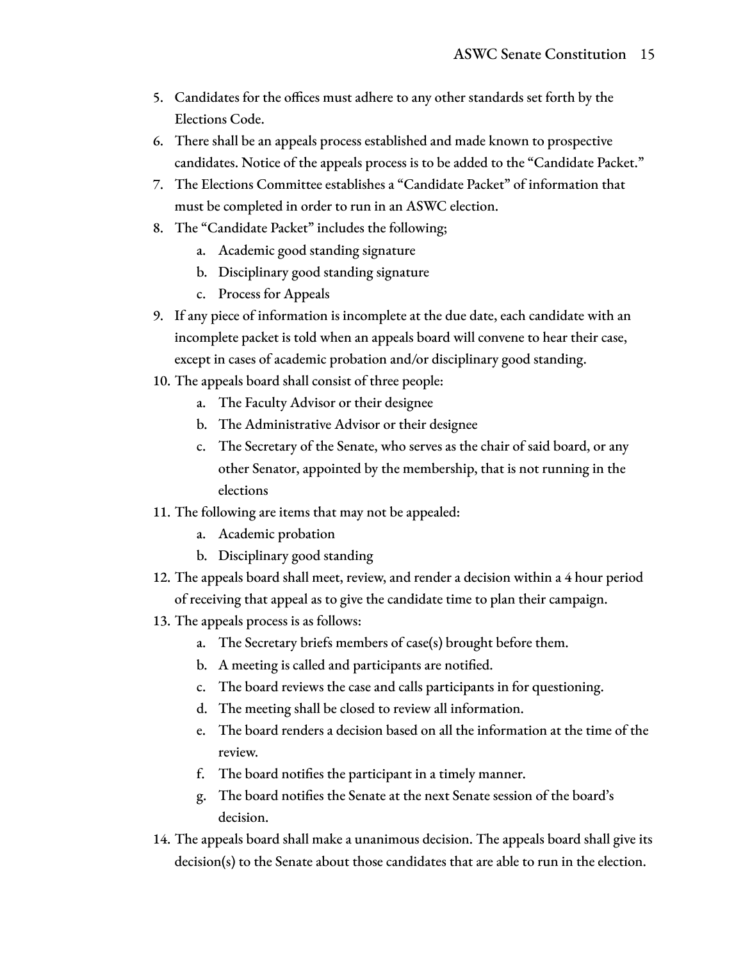- 5. Candidates for the offices must adhere to any other standards set forth by the Elections Code.
- 6. There shall be an appeals process established and made known to prospective candidates. Notice of the appeals process is to be added to the "Candidate Packet."
- 7. The Elections Committee establishes a "Candidate Packet" of information that must be completed in order to run in an ASWC election.
- 8. The "Candidate Packet" includes the following;
	- a. Academic good standing signature
	- b. Disciplinary good standing signature
	- c. Process for Appeals
- 9. If any piece of information is incomplete at the due date, each candidate with an incomplete packet is told when an appeals board will convene to hear their case, except in cases of academic probation and/or disciplinary good standing.
- 10. The appeals board shall consist of three people:
	- a. The Faculty Advisor or their designee
	- b. The Administrative Advisor or their designee
	- c. The Secretary of the Senate, who serves as the chair of said board, or any other Senator, appointed by the membership, that is not running in the elections
- 11. The following are items that may not be appealed:
	- a. Academic probation
	- b. Disciplinary good standing
- 12. The appeals board shall meet, review, and render a decision within a 4 hour period of receiving that appeal as to give the candidate time to plan their campaign.
- 13. The appeals process is as follows:
	- a. The Secretary briefs members of case(s) brought before them.
	- b. A meeting is called and participants are notified.
	- c. The board reviews the case and calls participants in for questioning.
	- d. The meeting shall be closed to review all information.
	- e. The board renders a decision based on all the information at the time of the review.
	- f. The board notifies the participant in a timely manner.
	- g. The board notifies the Senate at the next Senate session of the board's decision.
- 14. The appeals board shall make a unanimous decision. The appeals board shall give its decision(s) to the Senate about those candidates that are able to run in the election.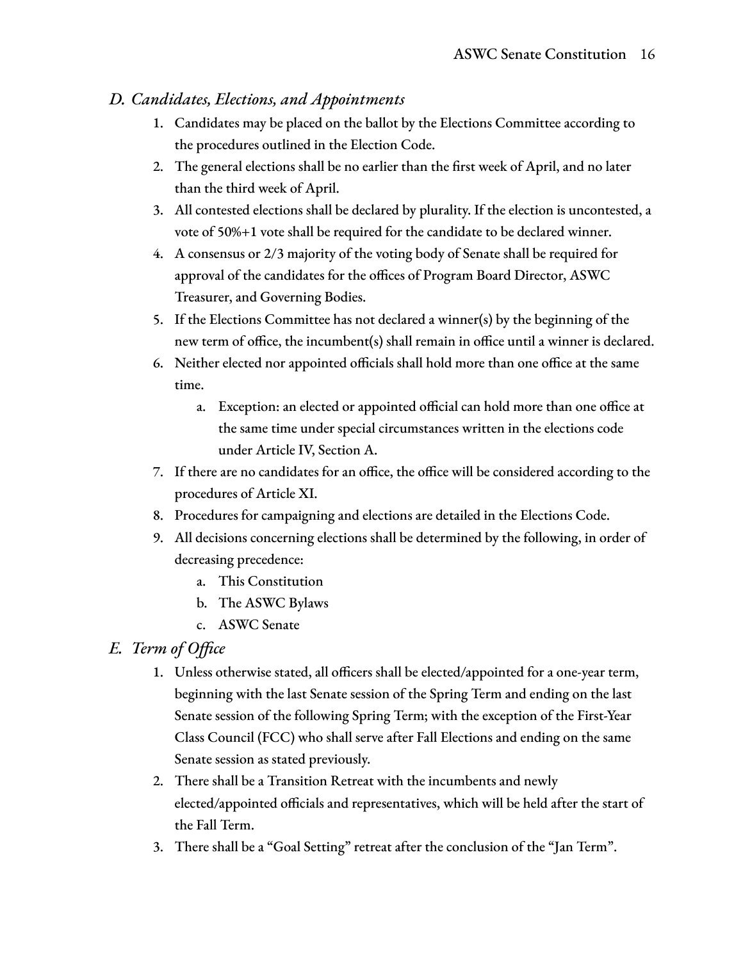#### *D. Candidates, Elections, and Appointments*

- 1. Candidates may be placed on the ballot by the Elections Committee according to the procedures outlined in the Election Code.
- 2. The general elections shall be no earlier than the first week of April, and no later than the third week of April.
- 3. All contested elections shall be declared by plurality. If the election is uncontested, a vote of 50%+1 vote shall be required for the candidate to be declared winner.
- 4. A consensus or 2/3 majority of the voting body of Senate shall be required for approval of the candidates for the offices of Program Board Director, ASWC Treasurer, and Governing Bodies.
- 5. If the Elections Committee has not declared a winner(s) by the beginning of the new term of office, the incumbent(s) shall remain in office until a winner is declared.
- 6. Neither elected nor appointed officials shall hold more than one office at the same time.
	- a. Exception: an elected or appointed official can hold more than one office at the same time under special circumstances written in the elections code under Article IV, Section A.
- 7. If there are no candidates for an office, the office will be considered according to the procedures of Article XI.
- 8. Procedures for campaigning and elections are detailed in the Elections Code.
- 9. All decisions concerning elections shall be determined by the following, in order of decreasing precedence:
	- a. This Constitution
	- b. The ASWC Bylaws
	- c. ASWC Senate

#### *E. Term of Office*

- 1. Unless otherwise stated, all officers shall be elected/appointed for a one-year term, beginning with the last Senate session of the Spring Term and ending on the last Senate session of the following Spring Term; with the exception of the First-Year Class Council (FCC) who shall serve after Fall Elections and ending on the same Senate session as stated previously.
- 2. There shall be a Transition Retreat with the incumbents and newly elected/appointed officials and representatives, which will be held after the start of the Fall Term.
- 3. There shall be a "Goal Setting" retreat after the conclusion of the "Jan Term".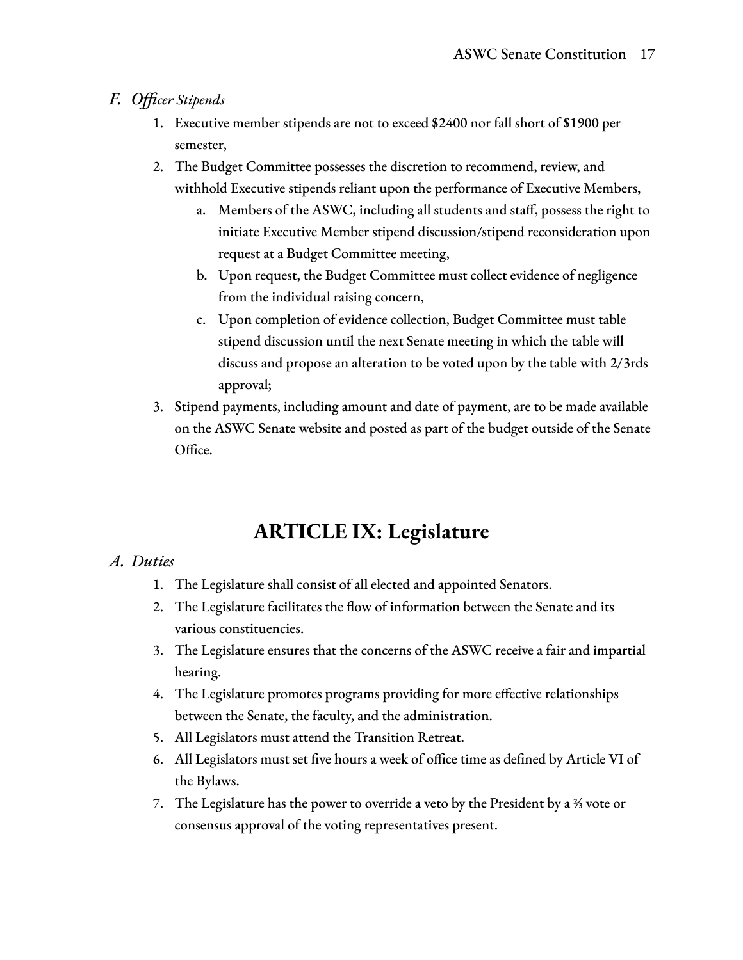#### *F. Officer Stipends*

- 1. Executive member stipends are not to exceed \$2400 nor fall short of \$1900 per semester,
- 2. The Budget Committee possesses the discretion to recommend, review, and withhold Executive stipends reliant upon the performance of Executive Members,
	- a. Members of the ASWC, including all students and staff, possess the right to initiate Executive Member stipend discussion/stipend reconsideration upon request at a Budget Committee meeting,
	- b. Upon request, the Budget Committee must collect evidence of negligence from the individual raising concern,
	- c. Upon completion of evidence collection, Budget Committee must table stipend discussion until the next Senate meeting in which the table will discuss and propose an alteration to be voted upon by the table with 2/3rds approval;
- 3. Stipend payments, including amount and date of payment, are to be made available on the ASWC Senate website and posted as part of the budget outside of the Senate Office.

# **ARTICLE IX: Legislature**

#### *A. Duties*

- 1. The Legislature shall consist of all elected and appointed Senators.
- 2. The Legislature facilitates the flow of information between the Senate and its various constituencies.
- 3. The Legislature ensures that the concerns of the ASWC receive a fair and impartial hearing.
- 4. The Legislature promotes programs providing for more effective relationships between the Senate, the faculty, and the administration.
- 5. All Legislators must attend the Transition Retreat.
- 6. All Legislators must set five hours a week of office time as defined by Article VI of the Bylaws.
- 7. The Legislature has the power to override a veto by the President by a ⅔ vote or consensus approval of the voting representatives present.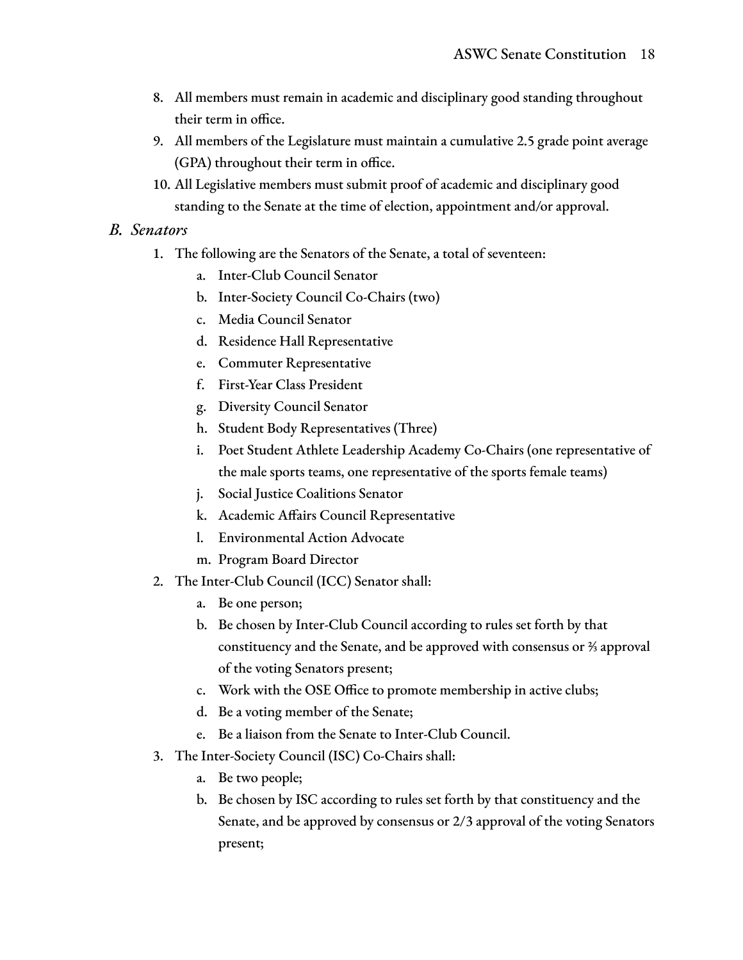- 8. All members must remain in academic and disciplinary good standing throughout their term in office.
- 9. All members of the Legislature must maintain a cumulative 2.5 grade point average (GPA) throughout their term in office.
- 10. All Legislative members must submit proof of academic and disciplinary good standing to the Senate at the time of election, appointment and/or approval.

#### *B. Senators*

- 1. The following are the Senators of the Senate, a total of seventeen:
	- a. Inter-Club Council Senator
	- b. Inter-Society Council Co-Chairs (two)
	- c. Media Council Senator
	- d. Residence Hall Representative
	- e. Commuter Representative
	- f. First-Year Class President
	- g. Diversity Council Senator
	- h. Student Body Representatives (Three)
	- i. Poet Student Athlete Leadership Academy Co-Chairs (one representative of the male sports teams, one representative of the sports female teams)
	- j. Social Justice Coalitions Senator
	- k. Academic Affairs Council Representative
	- l. Environmental Action Advocate
	- m. Program Board Director
- 2. The Inter-Club Council (ICC) Senator shall:
	- a. Be one person;
	- b. Be chosen by Inter-Club Council according to rules set forth by that constituency and the Senate, and be approved with consensus or ⅔ approval of the voting Senators present;
	- c. Work with the OSE Office to promote membership in active clubs;
	- d. Be a voting member of the Senate;
	- e. Be a liaison from the Senate to Inter-Club Council.
- 3. The Inter-Society Council (ISC) Co-Chairs shall:
	- a. Be two people;
	- b. Be chosen by ISC according to rules set forth by that constituency and the Senate, and be approved by consensus or 2/3 approval of the voting Senators present;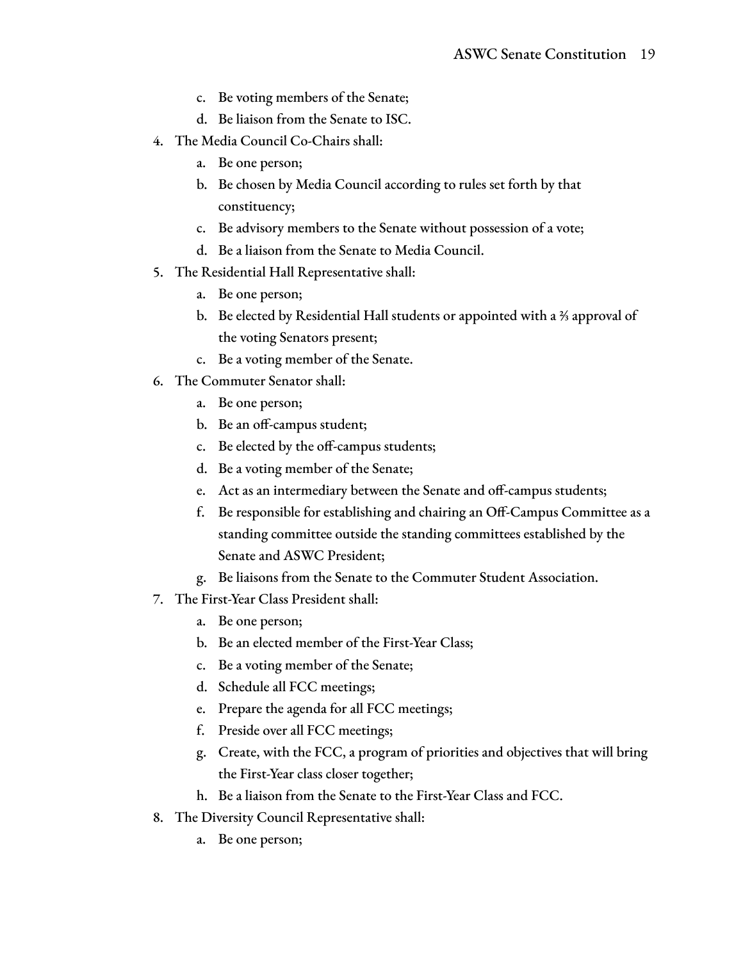- c. Be voting members of the Senate;
- d. Be liaison from the Senate to ISC.
- 4. The Media Council Co-Chairs shall:
	- a. Be one person;
	- b. Be chosen by Media Council according to rules set forth by that constituency;
	- c. Be advisory members to the Senate without possession of a vote;
	- d. Be a liaison from the Senate to Media Council.
- 5. The Residential Hall Representative shall:
	- a. Be one person;
	- b. Be elected by Residential Hall students or appointed with a ⅔ approval of the voting Senators present;
	- c. Be a voting member of the Senate.
- 6. The Commuter Senator shall:
	- a. Be one person;
	- b. Be an off-campus student;
	- c. Be elected by the off-campus students;
	- d. Be a voting member of the Senate;
	- e. Act as an intermediary between the Senate and off-campus students;
	- f. Be responsible for establishing and chairing an Off-Campus Committee as a standing committee outside the standing committees established by the Senate and ASWC President;
	- g. Be liaisons from the Senate to the Commuter Student Association.
- 7. The First-Year Class President shall:
	- a. Be one person;
	- b. Be an elected member of the First-Year Class;
	- c. Be a voting member of the Senate;
	- d. Schedule all FCC meetings;
	- e. Prepare the agenda for all FCC meetings;
	- f. Preside over all FCC meetings;
	- g. Create, with the FCC, a program of priorities and objectives that will bring the First-Year class closer together;
	- h. Be a liaison from the Senate to the First-Year Class and FCC.
- 8. The Diversity Council Representative shall:
	- a. Be one person;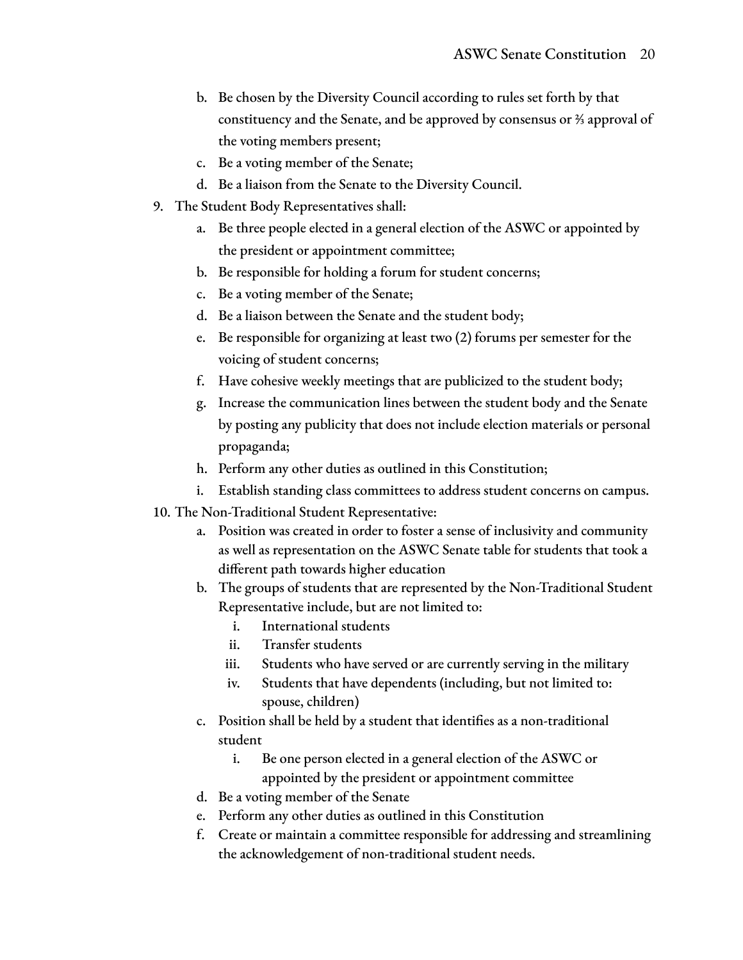- b. Be chosen by the Diversity Council according to rules set forth by that constituency and the Senate, and be approved by consensus or ⅔ approval of the voting members present;
- c. Be a voting member of the Senate;
- d. Be a liaison from the Senate to the Diversity Council.
- 9. The Student Body Representatives shall:
	- a. Be three people elected in a general election of the ASWC or appointed by the president or appointment committee;
	- b. Be responsible for holding a forum for student concerns;
	- c. Be a voting member of the Senate;
	- d. Be a liaison between the Senate and the student body;
	- e. Be responsible for organizing at least two (2) forums per semester for the voicing of student concerns;
	- f. Have cohesive weekly meetings that are publicized to the student body;
	- g. Increase the communication lines between the student body and the Senate by posting any publicity that does not include election materials or personal propaganda;
	- h. Perform any other duties as outlined in this Constitution;
	- i. Establish standing class committees to address student concerns on campus.
- 10. The Non-Traditional Student Representative:
	- a. Position was created in order to foster a sense of inclusivity and community as well as representation on the ASWC Senate table for students that took a different path towards higher education
	- b. The groups of students that are represented by the Non-Traditional Student Representative include, but are not limited to:
		- i. International students
		- ii. Transfer students
		- iii. Students who have served or are currently serving in the military
		- iv. Students that have dependents (including, but not limited to: spouse, children)
	- c. Position shall be held by a student that identifies as a non-traditional student
		- i. Be one person elected in a general election of the ASWC or appointed by the president or appointment committee
	- d. Be a voting member of the Senate
	- e. Perform any other duties as outlined in this Constitution
	- f. Create or maintain a committee responsible for addressing and streamlining the acknowledgement of non-traditional student needs.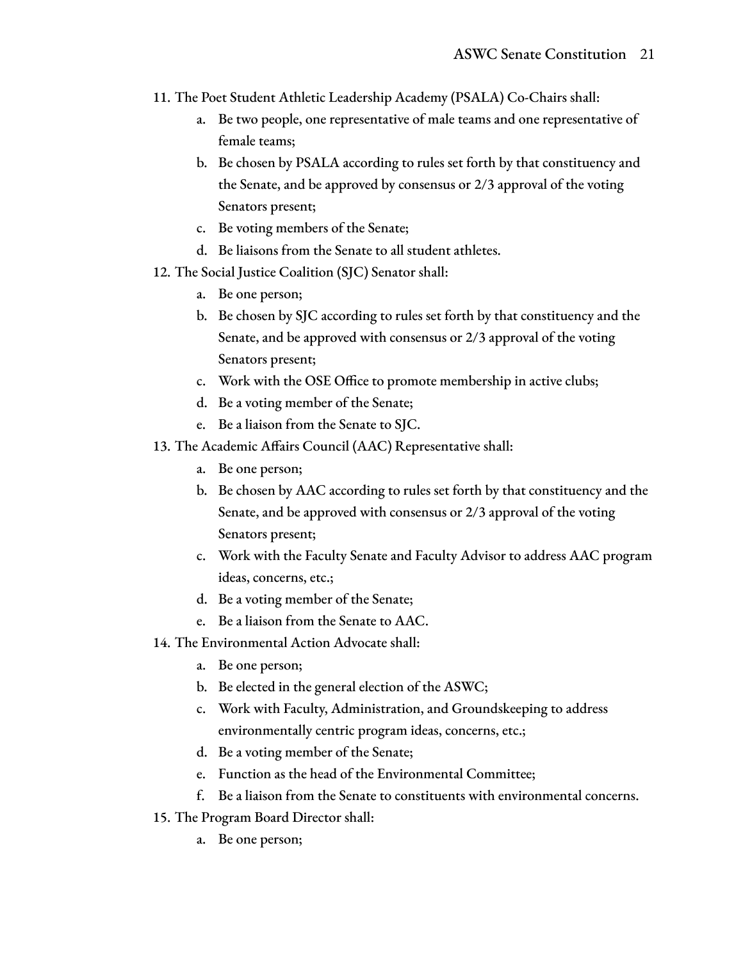- 11. The Poet Student Athletic Leadership Academy (PSALA) Co-Chairs shall:
	- a. Be two people, one representative of male teams and one representative of female teams;
	- b. Be chosen by PSALA according to rules set forth by that constituency and the Senate, and be approved by consensus or 2/3 approval of the voting Senators present;
	- c. Be voting members of the Senate;
	- d. Be liaisons from the Senate to all student athletes.
- 12. The Social Justice Coalition (SJC) Senator shall:
	- a. Be one person;
	- b. Be chosen by SJC according to rules set forth by that constituency and the Senate, and be approved with consensus or 2/3 approval of the voting Senators present;
	- c. Work with the OSE Office to promote membership in active clubs;
	- d. Be a voting member of the Senate;
	- e. Be a liaison from the Senate to SJC.
- 13. The Academic Affairs Council (AAC) Representative shall:
	- a. Be one person;
	- b. Be chosen by AAC according to rules set forth by that constituency and the Senate, and be approved with consensus or 2/3 approval of the voting Senators present;
	- c. Work with the Faculty Senate and Faculty Advisor to address AAC program ideas, concerns, etc.;
	- d. Be a voting member of the Senate;
	- e. Be a liaison from the Senate to AAC.
- 14. The Environmental Action Advocate shall:
	- a. Be one person;
	- b. Be elected in the general election of the ASWC;
	- c. Work with Faculty, Administration, and Groundskeeping to address environmentally centric program ideas, concerns, etc.;
	- d. Be a voting member of the Senate;
	- e. Function as the head of the Environmental Committee;
	- f. Be a liaison from the Senate to constituents with environmental concerns.
- 15. The Program Board Director shall:
	- a. Be one person;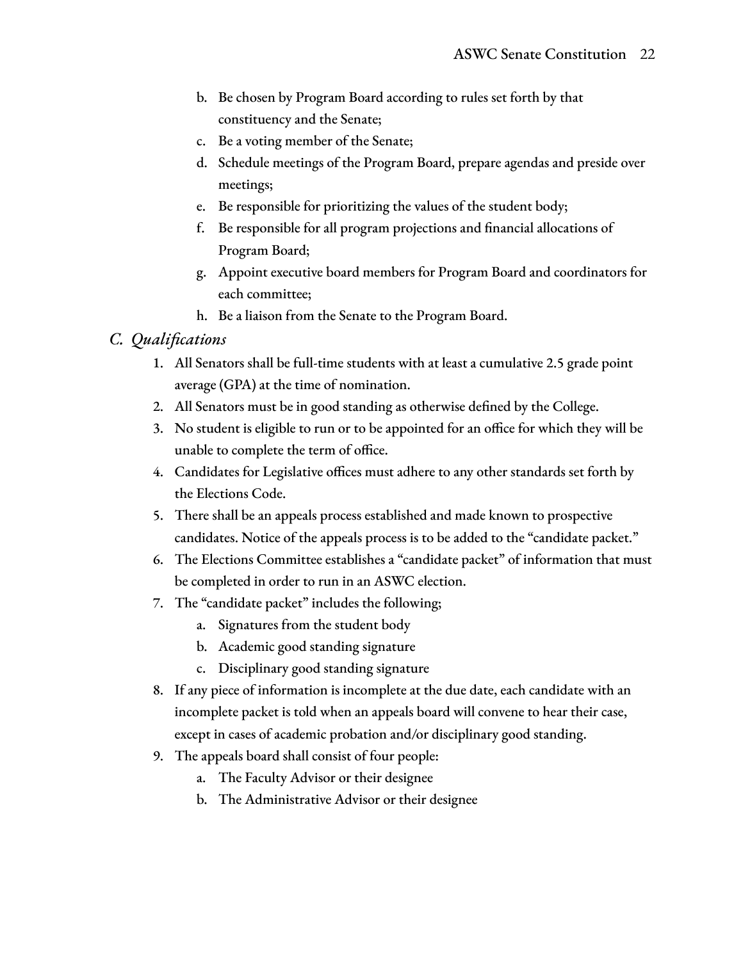- b. Be chosen by Program Board according to rules set forth by that constituency and the Senate;
- c. Be a voting member of the Senate;
- d. Schedule meetings of the Program Board, prepare agendas and preside over meetings;
- e. Be responsible for prioritizing the values of the student body;
- f. Be responsible for all program projections and financial allocations of Program Board;
- g. Appoint executive board members for Program Board and coordinators for each committee;
- h. Be a liaison from the Senate to the Program Board.

#### *C. Qualifications*

- 1. All Senators shall be full-time students with at least a cumulative 2.5 grade point average (GPA) at the time of nomination.
- 2. All Senators must be in good standing as otherwise defined by the College.
- 3. No student is eligible to run or to be appointed for an office for which they will be unable to complete the term of office.
- 4. Candidates for Legislative offices must adhere to any other standards set forth by the Elections Code.
- 5. There shall be an appeals process established and made known to prospective candidates. Notice of the appeals process is to be added to the "candidate packet."
- 6. The Elections Committee establishes a "candidate packet" of information that must be completed in order to run in an ASWC election.
- 7. The "candidate packet" includes the following;
	- a. Signatures from the student body
	- b. Academic good standing signature
	- c. Disciplinary good standing signature
- 8. If any piece of information is incomplete at the due date, each candidate with an incomplete packet is told when an appeals board will convene to hear their case, except in cases of academic probation and/or disciplinary good standing.
- 9. The appeals board shall consist of four people:
	- a. The Faculty Advisor or their designee
	- b. The Administrative Advisor or their designee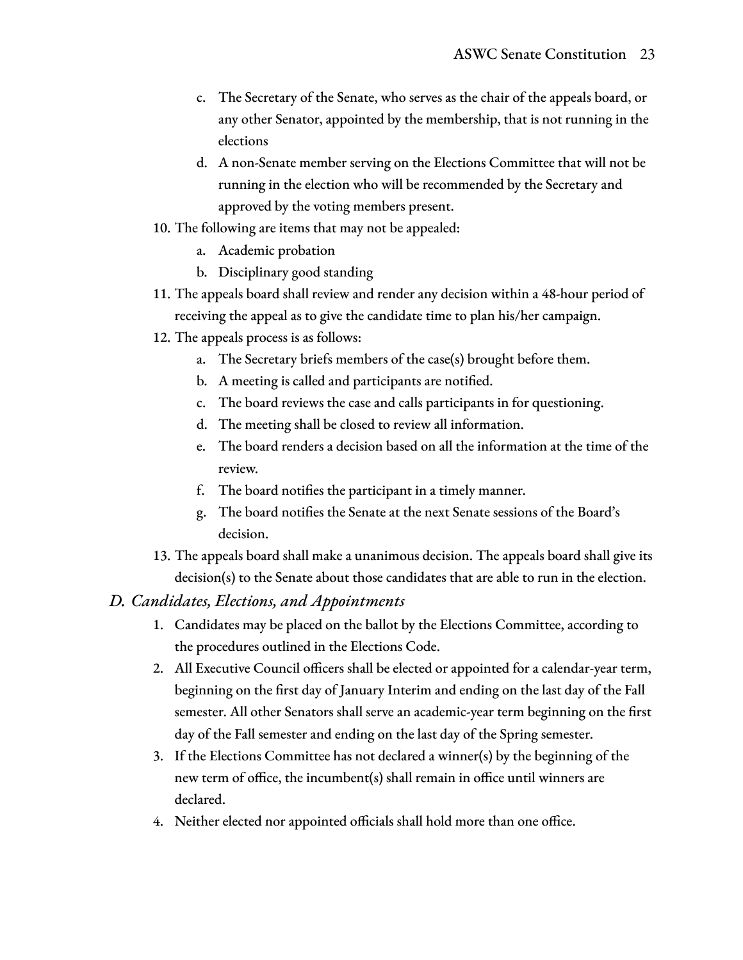- c. The Secretary of the Senate, who serves as the chair of the appeals board, or any other Senator, appointed by the membership, that is not running in the elections
- d. A non-Senate member serving on the Elections Committee that will not be running in the election who will be recommended by the Secretary and approved by the voting members present.
- 10. The following are items that may not be appealed:
	- a. Academic probation
	- b. Disciplinary good standing
- 11. The appeals board shall review and render any decision within a 48-hour period of receiving the appeal as to give the candidate time to plan his/her campaign.
- 12. The appeals process is as follows:
	- a. The Secretary briefs members of the case(s) brought before them.
	- b. A meeting is called and participants are notified.
	- c. The board reviews the case and calls participants in for questioning.
	- d. The meeting shall be closed to review all information.
	- e. The board renders a decision based on all the information at the time of the review.
	- f. The board notifies the participant in a timely manner.
	- g. The board notifies the Senate at the next Senate sessions of the Board's decision.
- 13. The appeals board shall make a unanimous decision. The appeals board shall give its decision(s) to the Senate about those candidates that are able to run in the election.

#### *D. Candidates, Elections, and Appointments*

- 1. Candidates may be placed on the ballot by the Elections Committee, according to the procedures outlined in the Elections Code.
- 2. All Executive Council officers shall be elected or appointed for a calendar-year term, beginning on the first day of January Interim and ending on the last day of the Fall semester. All other Senators shall serve an academic-year term beginning on the first day of the Fall semester and ending on the last day of the Spring semester.
- 3. If the Elections Committee has not declared a winner(s) by the beginning of the new term of office, the incumbent(s) shall remain in office until winners are declared.
- 4. Neither elected nor appointed officials shall hold more than one office.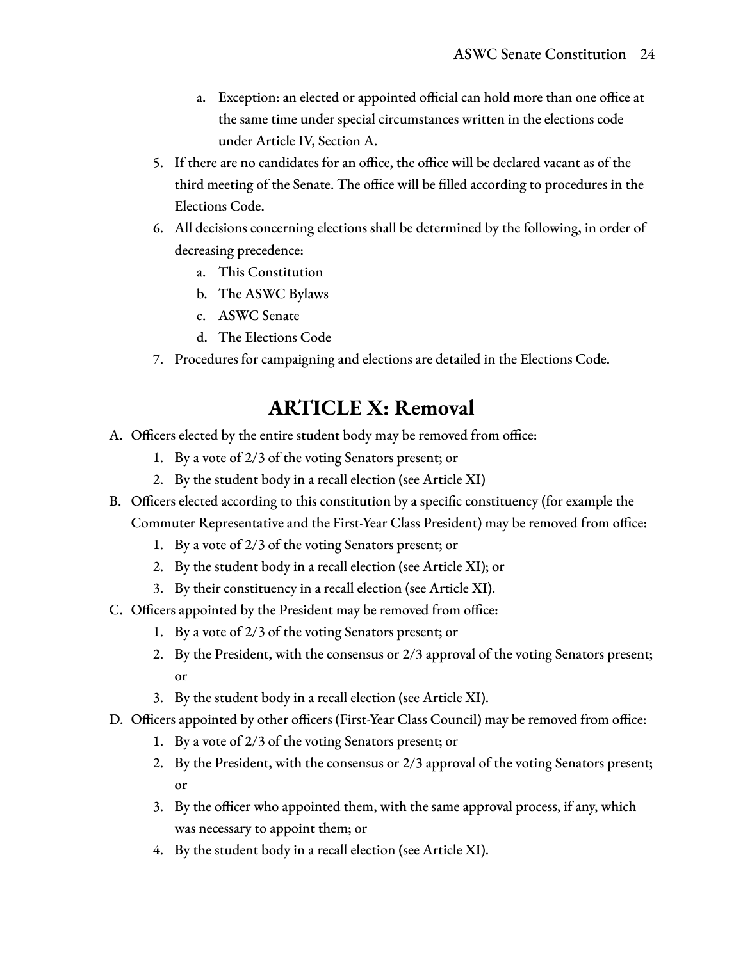- a. Exception: an elected or appointed official can hold more than one office at the same time under special circumstances written in the elections code under Article IV, Section A.
- 5. If there are no candidates for an office, the office will be declared vacant as of the third meeting of the Senate. The office will be filled according to procedures in the Elections Code.
- 6. All decisions concerning elections shall be determined by the following, in order of decreasing precedence:
	- a. This Constitution
	- b. The ASWC Bylaws
	- c. ASWC Senate
	- d. The Elections Code
- 7. Procedures for campaigning and elections are detailed in the Elections Code.

## **ARTICLE X: Removal**

- A. Officers elected by the entire student body may be removed from office:
	- 1. By a vote of 2/3 of the voting Senators present; or
	- 2. By the student body in a recall election (see Article XI)
- B. Officers elected according to this constitution by a specific constituency (for example the Commuter Representative and the First-Year Class President) may be removed from office:
	- 1. By a vote of 2/3 of the voting Senators present; or
	- 2. By the student body in a recall election (see Article XI); or
	- 3. By their constituency in a recall election (see Article XI).
- C. Officers appointed by the President may be removed from office:
	- 1. By a vote of 2/3 of the voting Senators present; or
	- 2. By the President, with the consensus or 2/3 approval of the voting Senators present; or
	- 3. By the student body in a recall election (see Article XI).
- D. Officers appointed by other officers (First-Year Class Council) may be removed from office:
	- 1. By a vote of 2/3 of the voting Senators present; or
	- 2. By the President, with the consensus or 2/3 approval of the voting Senators present; or
	- 3. By the officer who appointed them, with the same approval process, if any, which was necessary to appoint them; or
	- 4. By the student body in a recall election (see Article XI).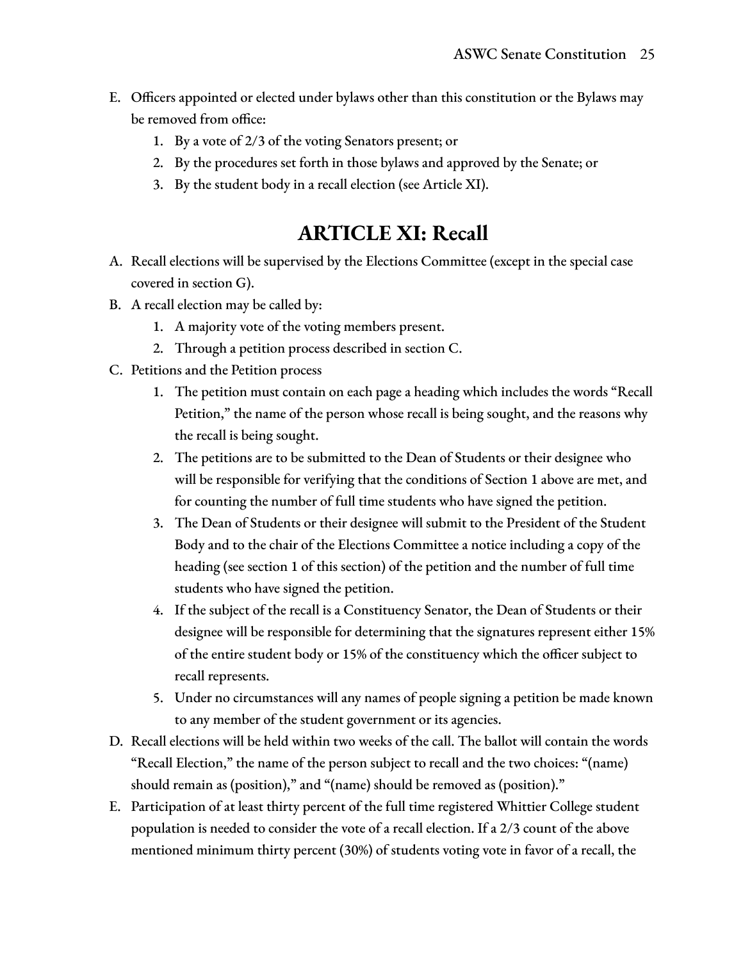- E. Officers appointed or elected under bylaws other than this constitution or the Bylaws may be removed from office:
	- 1. By a vote of 2/3 of the voting Senators present; or
	- 2. By the procedures set forth in those bylaws and approved by the Senate; or
	- 3. By the student body in a recall election (see Article XI).

## **ARTICLE XI: Recall**

- A. Recall elections will be supervised by the Elections Committee (except in the special case covered in section G).
- B. A recall election may be called by:
	- 1. A majority vote of the voting members present.
	- 2. Through a petition process described in section C.
- C. Petitions and the Petition process
	- 1. The petition must contain on each page a heading which includes the words "Recall Petition," the name of the person whose recall is being sought, and the reasons why the recall is being sought.
	- 2. The petitions are to be submitted to the Dean of Students or their designee who will be responsible for verifying that the conditions of Section 1 above are met, and for counting the number of full time students who have signed the petition.
	- 3. The Dean of Students or their designee will submit to the President of the Student Body and to the chair of the Elections Committee a notice including a copy of the heading (see section 1 of this section) of the petition and the number of full time students who have signed the petition.
	- 4. If the subject of the recall is a Constituency Senator, the Dean of Students or their designee will be responsible for determining that the signatures represent either 15% of the entire student body or 15% of the constituency which the officer subject to recall represents.
	- 5. Under no circumstances will any names of people signing a petition be made known to any member of the student government or its agencies.
- D. Recall elections will be held within two weeks of the call. The ballot will contain the words "Recall Election," the name of the person subject to recall and the two choices: "(name) should remain as (position)," and "(name) should be removed as (position)."
- E. Participation of at least thirty percent of the full time registered Whittier College student population is needed to consider the vote of a recall election. If a 2/3 count of the above mentioned minimum thirty percent (30%) of students voting vote in favor of a recall, the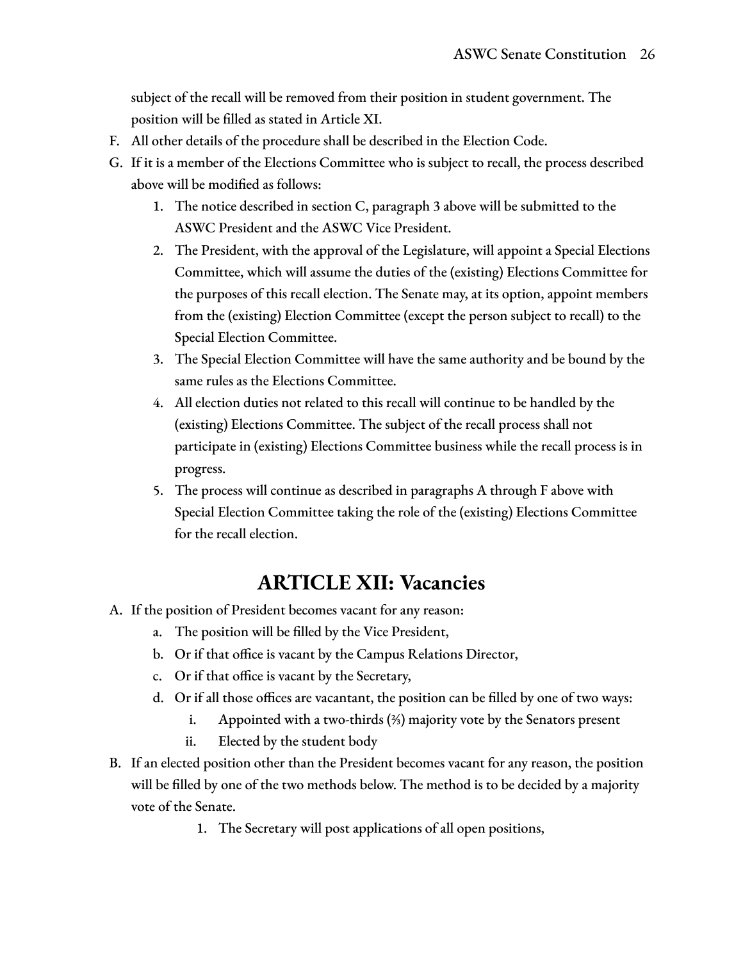subject of the recall will be removed from their position in student government. The position will be filled as stated in Article XI.

- F. All other details of the procedure shall be described in the Election Code.
- G. If it is a member of the Elections Committee who is subject to recall, the process described above will be modified as follows:
	- 1. The notice described in section C, paragraph 3 above will be submitted to the ASWC President and the ASWC Vice President.
	- 2. The President, with the approval of the Legislature, will appoint a Special Elections Committee, which will assume the duties of the (existing) Elections Committee for the purposes of this recall election. The Senate may, at its option, appoint members from the (existing) Election Committee (except the person subject to recall) to the Special Election Committee.
	- 3. The Special Election Committee will have the same authority and be bound by the same rules as the Elections Committee.
	- 4. All election duties not related to this recall will continue to be handled by the (existing) Elections Committee. The subject of the recall process shall not participate in (existing) Elections Committee business while the recall process is in progress.
	- 5. The process will continue as described in paragraphs A through F above with Special Election Committee taking the role of the (existing) Elections Committee for the recall election.

## **ARTICLE XII: Vacancies**

- A. If the position of President becomes vacant for any reason:
	- a. The position will be filled by the Vice President,
	- b. Or if that office is vacant by the Campus Relations Director,
	- c. Or if that office is vacant by the Secretary,
	- d. Or if all those offices are vacantant, the position can be filled by one of two ways:
		- i. Appointed with a two-thirds (⅔) majority vote by the Senators present
		- ii. Elected by the student body
- B. If an elected position other than the President becomes vacant for any reason, the position will be filled by one of the two methods below. The method is to be decided by a majority vote of the Senate.
	- 1. The Secretary will post applications of all open positions,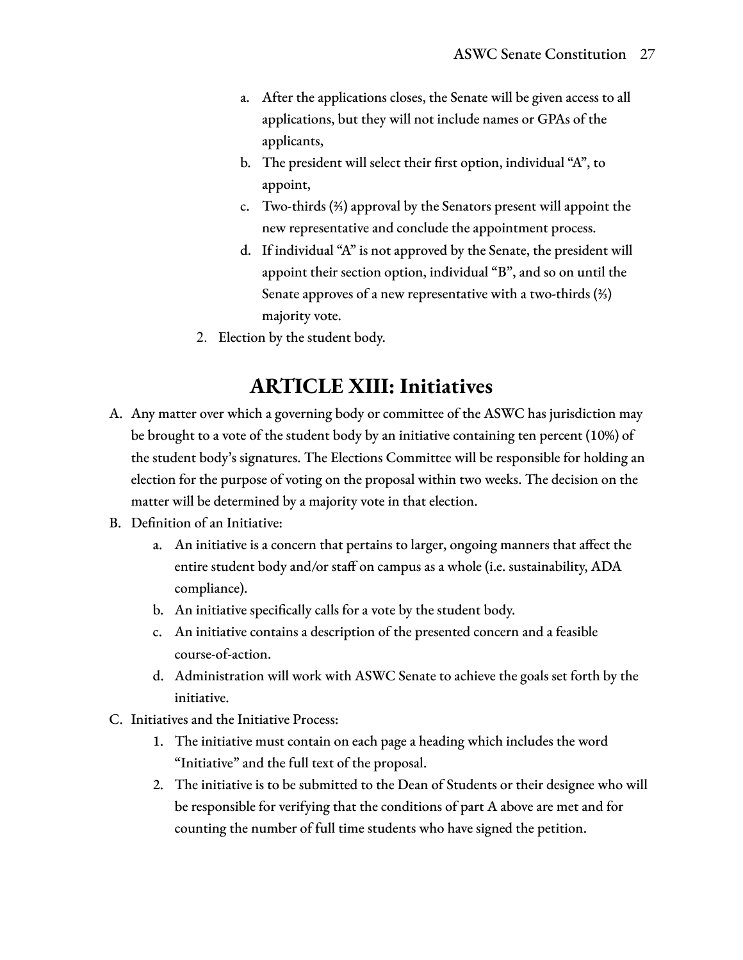- a. After the applications closes, the Senate will be given access to all applications, but they will not include names or GPAs of the applicants,
- b. The president will select their first option, individual "A", to appoint,
- c. Two-thirds (⅔) approval by the Senators present will appoint the new representative and conclude the appointment process.
- d. If individual "A" is not approved by the Senate, the president will appoint their section option, individual "B", and so on until the Senate approves of a new representative with a two-thirds (⅔) majority vote.
- 2. Election by the student body.

## **ARTICLE XIII: Initiatives**

- A. Any matter over which a governing body or committee of the ASWC has jurisdiction may be brought to a vote of the student body by an initiative containing ten percent (10%) of the student body's signatures. The Elections Committee will be responsible for holding an election for the purpose of voting on the proposal within two weeks. The decision on the matter will be determined by a majority vote in that election.
- B. Definition of an Initiative:
	- a. An initiative is a concern that pertains to larger, ongoing manners that affect the entire student body and/or staff on campus as a whole (i.e. sustainability, ADA compliance).
	- b. An initiative specifically calls for a vote by the student body.
	- c. An initiative contains a description of the presented concern and a feasible course-of-action.
	- d. Administration will work with ASWC Senate to achieve the goals set forth by the initiative.
- C. Initiatives and the Initiative Process:
	- 1. The initiative must contain on each page a heading which includes the word "Initiative" and the full text of the proposal.
	- 2. The initiative is to be submitted to the Dean of Students or their designee who will be responsible for verifying that the conditions of part A above are met and for counting the number of full time students who have signed the petition.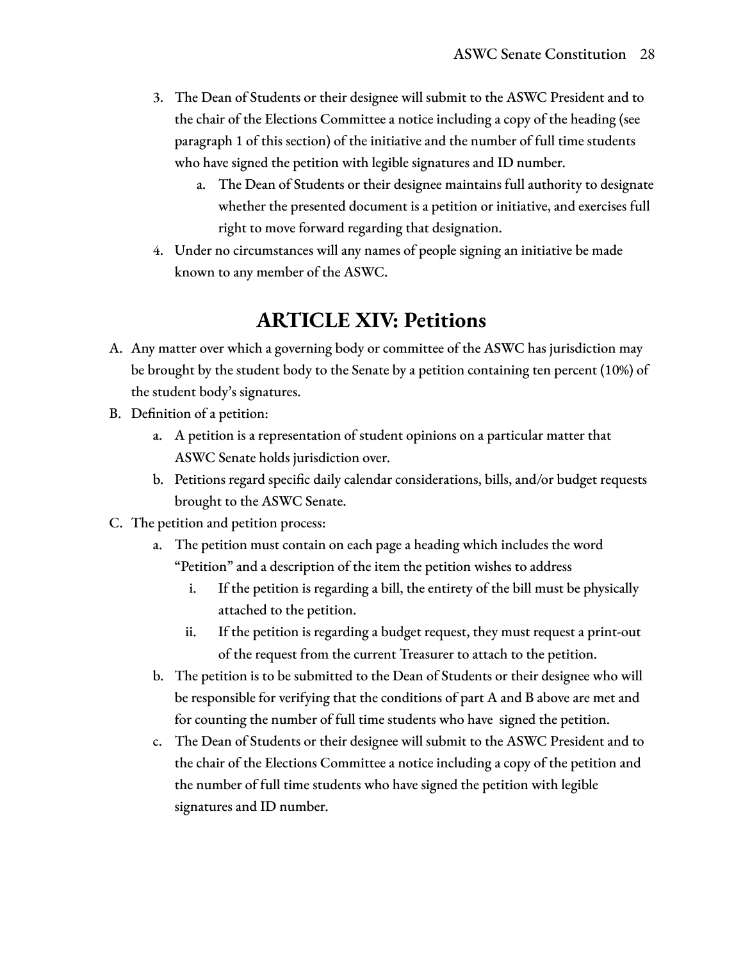- 3. The Dean of Students or their designee will submit to the ASWC President and to the chair of the Elections Committee a notice including a copy of the heading (see paragraph 1 of this section) of the initiative and the number of full time students who have signed the petition with legible signatures and ID number.
	- a. The Dean of Students or their designee maintains full authority to designate whether the presented document is a petition or initiative, and exercises full right to move forward regarding that designation.
- 4. Under no circumstances will any names of people signing an initiative be made known to any member of the ASWC.

# **ARTICLE XIV: Petitions**

- A. Any matter over which a governing body or committee of the ASWC has jurisdiction may be brought by the student body to the Senate by a petition containing ten percent (10%) of the student body's signatures.
- B. Definition of a petition:
	- a. A petition is a representation of student opinions on a particular matter that ASWC Senate holds jurisdiction over.
	- b. Petitions regard specific daily calendar considerations, bills, and/or budget requests brought to the ASWC Senate.
- C. The petition and petition process:
	- a. The petition must contain on each page a heading which includes the word "Petition" and a description of the item the petition wishes to address
		- i. If the petition is regarding a bill, the entirety of the bill must be physically attached to the petition.
		- ii. If the petition is regarding a budget request, they must request a print-out of the request from the current Treasurer to attach to the petition.
	- b. The petition is to be submitted to the Dean of Students or their designee who will be responsible for verifying that the conditions of part A and B above are met and for counting the number of full time students who have signed the petition.
	- c. The Dean of Students or their designee will submit to the ASWC President and to the chair of the Elections Committee a notice including a copy of the petition and the number of full time students who have signed the petition with legible signatures and ID number.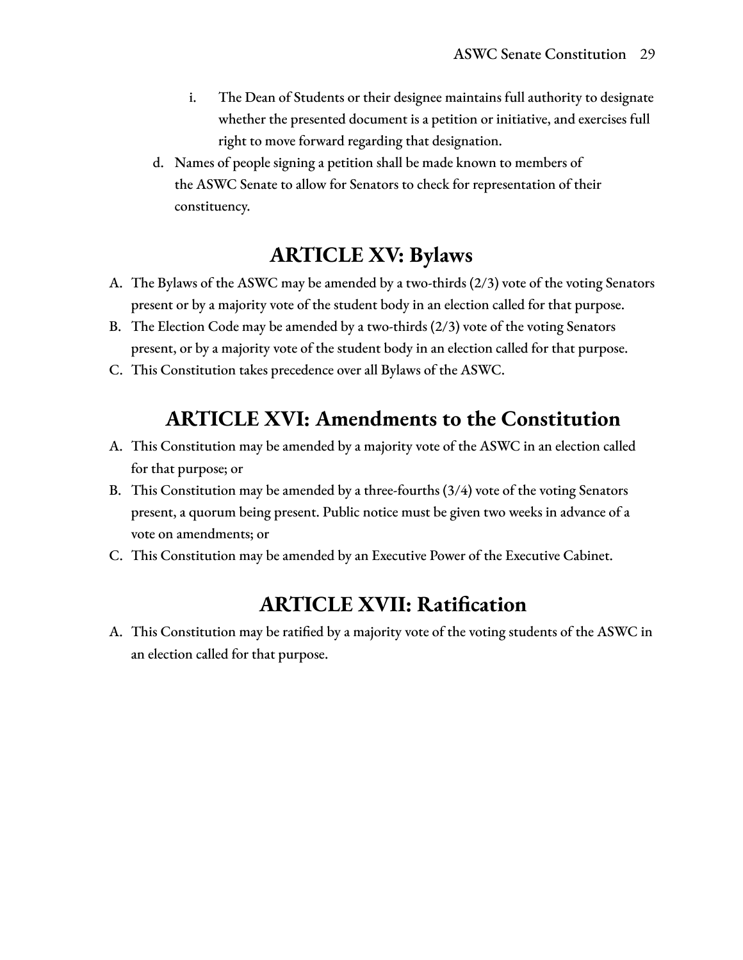- i. The Dean of Students or their designee maintains full authority to designate whether the presented document is a petition or initiative, and exercises full right to move forward regarding that designation.
- d. Names of people signing a petition shall be made known to members of the ASWC Senate to allow for Senators to check for representation of their constituency.

# **ARTICLE XV: Bylaws**

- A. The Bylaws of the ASWC may be amended by a two-thirds (2/3) vote of the voting Senators present or by a majority vote of the student body in an election called for that purpose.
- B. The Election Code may be amended by a two-thirds (2/3) vote of the voting Senators present, or by a majority vote of the student body in an election called for that purpose.
- C. This Constitution takes precedence over all Bylaws of the ASWC.

## **ARTICLE XVI: Amendments to the Constitution**

- A. This Constitution may be amended by a majority vote of the ASWC in an election called for that purpose; or
- B. This Constitution may be amended by a three-fourths (3/4) vote of the voting Senators present, a quorum being present. Public notice must be given two weeks in advance of a vote on amendments; or
- C. This Constitution may be amended by an Executive Power of the Executive Cabinet.

# **ARTICLE XVII: Ratification**

A. This Constitution may be ratified by a majority vote of the voting students of the ASWC in an election called for that purpose.